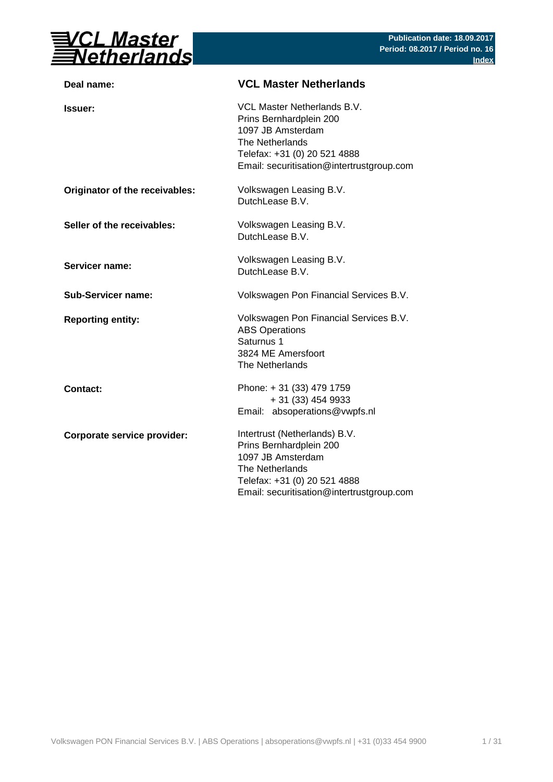

| VCL Master Netherlands B.V.<br>Prins Bernhardplein 200<br>1097 JB Amsterdam<br>The Netherlands<br>Telefax: +31 (0) 20 521 4888<br>Email: securitisation@intertrustgroup.com   |
|-------------------------------------------------------------------------------------------------------------------------------------------------------------------------------|
| Volkswagen Leasing B.V.<br>DutchLease B.V.                                                                                                                                    |
| Volkswagen Leasing B.V.<br>DutchLease B.V.                                                                                                                                    |
| Volkswagen Leasing B.V.<br>DutchLease B.V.                                                                                                                                    |
| Volkswagen Pon Financial Services B.V.                                                                                                                                        |
| Volkswagen Pon Financial Services B.V.<br><b>ABS Operations</b><br>Saturnus 1<br>3824 ME Amersfoort<br>The Netherlands                                                        |
| Phone: +31 (33) 479 1759<br>$+31(33)4549933$<br>Email: absoperations@vwpfs.nl                                                                                                 |
| Intertrust (Netherlands) B.V.<br>Prins Bernhardplein 200<br>1097 JB Amsterdam<br>The Netherlands<br>Telefax: +31 (0) 20 521 4888<br>Email: securitisation@intertrustgroup.com |
|                                                                                                                                                                               |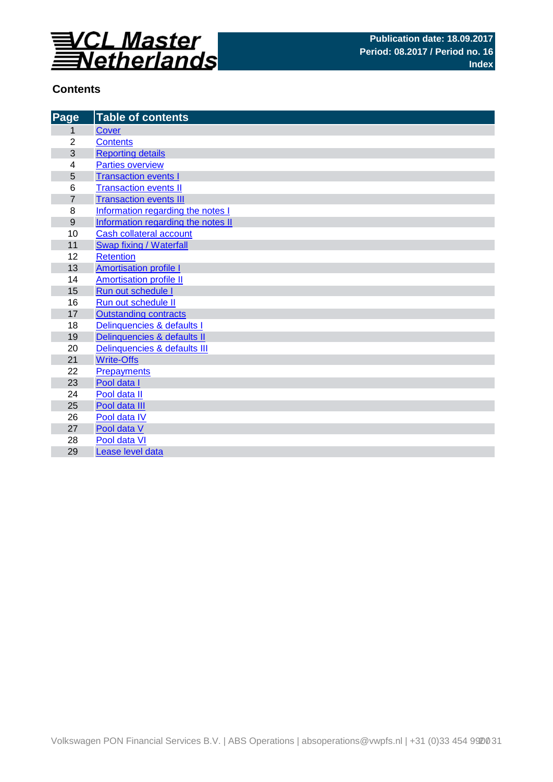

## **Contents**

| Page           | <b>Table of contents</b>           |
|----------------|------------------------------------|
| 1              | <b>Cover</b>                       |
| $\overline{2}$ | <b>Contents</b>                    |
| 3              | <b>Reporting details</b>           |
| 4              | <b>Parties overview</b>            |
| 5              | <b>Transaction events I</b>        |
| 6              | <b>Transaction events II</b>       |
| $\overline{7}$ | <b>Transaction events III</b>      |
| 8              | Information regarding the notes I  |
| 9              | Information regarding the notes II |
| 10             | Cash collateral account            |
| 11             | Swap fixing / Waterfall            |
| 12             | <b>Retention</b>                   |
| 13             | <b>Amortisation profile I</b>      |
| 14             | <b>Amortisation profile II</b>     |
| 15             | Run out schedule I                 |
| 16             | Run out schedule II                |
| 17             | <b>Outstanding contracts</b>       |
| 18             | Delinquencies & defaults I         |
| 19             | Delinquencies & defaults II        |
| 20             | Delinquencies & defaults III       |
| 21             | <b>Write-Offs</b>                  |
| 22             | <b>Prepayments</b>                 |
| 23             | Pool data I                        |
| 24             | Pool data II                       |
| 25             | Pool data III                      |
| 26             | Pool data IV                       |
| 27<br>28       | Pool data V<br>Pool data VI        |
|                |                                    |
| 29             | Lease level data                   |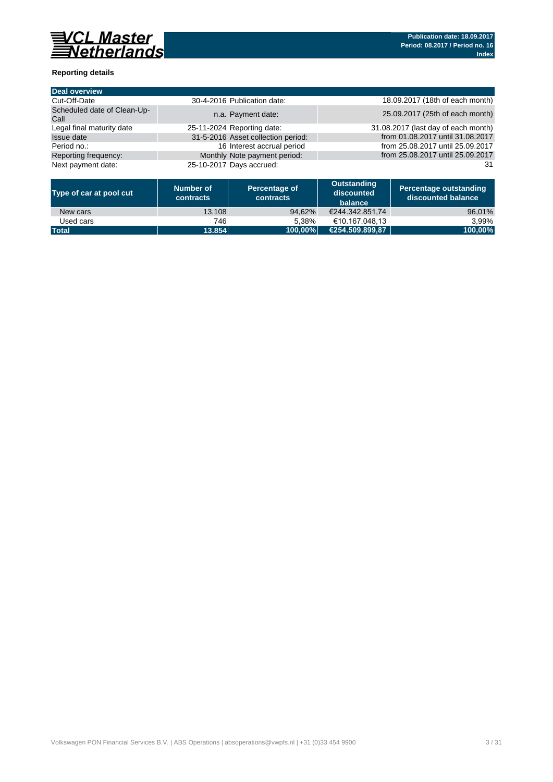

### **Reporting details**

| Deal overview                       |                                    |                                     |
|-------------------------------------|------------------------------------|-------------------------------------|
| Cut-Off-Date                        | 30-4-2016 Publication date:        | 18.09.2017 (18th of each month)     |
| Scheduled date of Clean-Up-<br>Call | n.a. Payment date:                 | 25.09.2017 (25th of each month)     |
| Legal final maturity date           | 25-11-2024 Reporting date:         | 31.08.2017 (last day of each month) |
| <b>Issue date</b>                   | 31-5-2016 Asset collection period: | from 01.08.2017 until 31.08.2017    |
| Period no.:                         | 16 Interest accrual period         | from 25.08.2017 until 25.09.2017    |
| Reporting frequency:                | Monthly Note payment period:       | from 25.08.2017 until 25.09.2017    |
| Next payment date:                  | 25-10-2017 Days accrued:           | 31                                  |

| Type of car at pool cut | Number of<br>contracts | Percentage of<br>contracts | Outstanding<br>discounted<br>balance | <b>Percentage outstanding</b><br>discounted balance |
|-------------------------|------------------------|----------------------------|--------------------------------------|-----------------------------------------------------|
| New cars                | 13.108                 | 94.62%                     | €244.342.851.74                      | 96,01%                                              |
| Used cars               | 746                    | 5.38%                      | €10.167.048.13                       | 3.99%                                               |
| <b>Total</b>            | 13.854                 | 100.00%                    | €254.509.899.87                      | 100,00%                                             |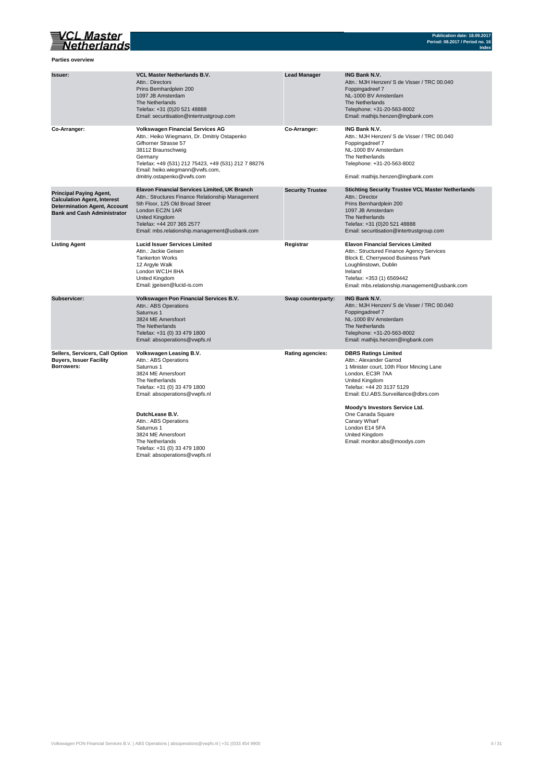## VCL Master<br>Setherlands

**Parties overview**

| Issuer:                                                                                                                                           | <b>VCL Master Netherlands B.V.</b><br>Attn.: Directors<br>Prins Bernhardplein 200<br>1097 JB Amsterdam<br>The Netherlands<br>Telefax: +31 (0)20 521 48888<br>Email: securitisation@intertrustgroup.com                                                                   | <b>Lead Manager</b>     | <b>ING Bank N.V.</b><br>Attn.: MJH Henzen/ S de Visser / TRC 00.040<br>Foppingadreef 7<br>NL-1000 BV Amsterdam<br>The Netherlands<br>Telephone: +31-20-563-8002<br>Email: mathijs.henzen@ingbank.com                                         |
|---------------------------------------------------------------------------------------------------------------------------------------------------|--------------------------------------------------------------------------------------------------------------------------------------------------------------------------------------------------------------------------------------------------------------------------|-------------------------|----------------------------------------------------------------------------------------------------------------------------------------------------------------------------------------------------------------------------------------------|
| Co-Arranger:                                                                                                                                      | <b>Volkswagen Financial Services AG</b><br>Attn.: Heiko Wiegmann, Dr. Dmitriy Ostapenko<br>Gifhorner Strasse 57<br>38112 Braunschweig<br>Germany<br>Telefax: +49 (531) 212 75423, +49 (531) 212 7 88276<br>Email: heiko.wiegmann@vwfs.com,<br>dmitriy.ostapenko@vwfs.com | Co-Arranger:            | ING Bank N.V.<br>Attn.: MJH Henzen/ S de Visser / TRC 00.040<br>Foppingadreef 7<br>NL-1000 BV Amsterdam<br>The Netherlands<br>Telephone: +31-20-563-8002<br>Email: mathijs.henzen@ingbank.com                                                |
| <b>Principal Paying Agent,</b><br><b>Calculation Agent, Interest</b><br><b>Determination Agent, Account</b><br><b>Bank and Cash Administrator</b> | Elavon Financial Services Limited, UK Branch<br>Attn.: Structures Finance Relationship Management<br>5th Floor, 125 Old Broad Street<br>London EC2N 1AR<br>United Kingdom<br>Telefax: +44 207 365 2577<br>Email: mbs.relationship.management@usbank.com                  | <b>Security Trustee</b> | <b>Stichting Security Trustee VCL Master Netherlands</b><br>Attn.: Director<br>Prins Bernhardplein 200<br>1097 JB Amsterdam<br>The Netherlands<br>Telefax: +31 (0)20 521 48888<br>Email: securitisation@intertrustgroup.com                  |
| <b>Listing Agent</b>                                                                                                                              | <b>Lucid Issuer Services Limited</b><br>Attn.: Jackie Geisen<br><b>Tankerton Works</b><br>12 Argyle Walk<br>London WC1H 8HA<br>United Kingdom<br>Email: jgeisen@lucid-is.com                                                                                             | Registrar               | <b>Elavon Financial Services Limited</b><br>Attn.: Structured Finance Agency Services<br>Block E, Cherrywood Business Park<br>Loughlinstown, Dublin<br>Ireland<br>Telefax: +353 (1) 6569442<br>Email: mbs.relationship.management@usbank.com |
| Subservicer:                                                                                                                                      | Volkswagen Pon Financial Services B.V.<br>Attn.: ABS Operations<br>Saturnus 1<br>3824 ME Amersfoort<br>The Netherlands<br>Telefax: +31 (0) 33 479 1800<br>Email: absoperations@vwpfs.nl                                                                                  | Swap counterparty:      | <b>ING Bank N.V.</b><br>Attn.: MJH Henzen/ S de Visser / TRC 00.040<br>Foppingadreef 7<br>NL-1000 BV Amsterdam<br>The Netherlands<br>Telephone: +31-20-563-8002<br>Email: mathijs.henzen@ingbank.com                                         |
| Sellers, Servicers, Call Option<br><b>Buyers, Issuer Facility</b><br>Borrowers:                                                                   | Volkswagen Leasing B.V.<br>Attn.: ABS Operations<br>Saturnus 1<br>3824 ME Amersfoort<br>The Netherlands<br>Telefax: +31 (0) 33 479 1800<br>Email: absoperations@vwpfs.nl                                                                                                 | Rating agencies:        | <b>DBRS Ratings Limited</b><br>Attn.: Alexander Garrod<br>1 Minister court, 10th Floor Mincing Lane<br>London, EC3R 7AA<br>United Kingdom<br>Telefax: +44 20 3137 5129<br>Email: EU.ABS.Surveillance@dbrs.com                                |
|                                                                                                                                                   | DutchLease B.V.<br>Attn.: ABS Operations<br>Saturnus 1<br>3824 ME Amersfoort<br>The Netherlands<br>Telefax: +31 (0) 33 479 1800<br>Email: absoperations@vwpfs.nl                                                                                                         |                         | Moody's Investors Service Ltd.<br>One Canada Square<br>Canary Wharf<br>London E14 5FA<br>United Kingdom<br>Email: monitor.abs@moodys.com                                                                                                     |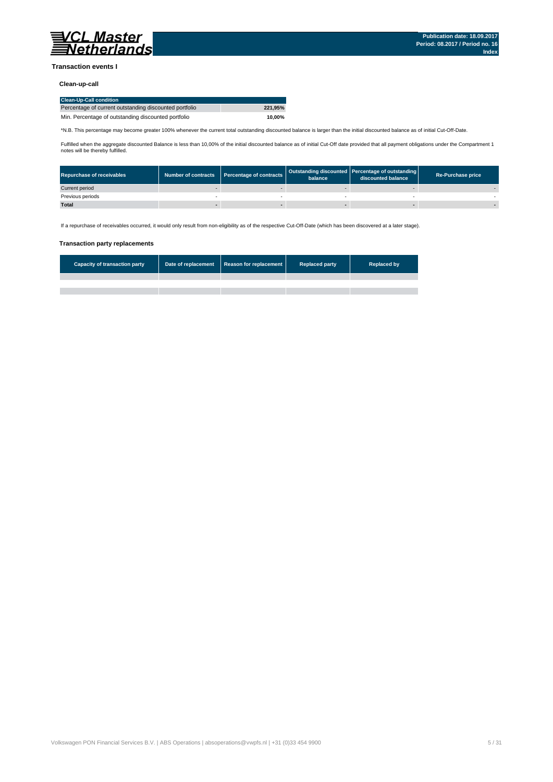

#### **Transaction events I**

#### **Clean-up-call**

| <b>Clean-Up-Call condition</b>                         |         |
|--------------------------------------------------------|---------|
| Percentage of current outstanding discounted portfolio | 221.95% |
| Min. Percentage of outstanding discounted portfolio    | 10.00%  |

\*N.B. This percentage may become greater 100% whenever the current total outstanding discounted balance is larger than the initial discounted balance as of initial Cut-Off-Date.

Fulfilled when the aggregate discounted Balance is less than 10,00% of the initial discounted balance as of initial Cut-Off date provided that all payment obligations under the Compartment 1 notes will be thereby fulfilled.

| <b>Repurchase of receivables</b> | Number of contracts Percentage of contracts | balance | Outstanding discounted Percentage of outstanding<br>discounted balance | <b>Re-Purchase price</b> |
|----------------------------------|---------------------------------------------|---------|------------------------------------------------------------------------|--------------------------|
| Current period                   |                                             |         |                                                                        |                          |
| Previous periods                 |                                             |         |                                                                        |                          |
| <b>Total</b>                     |                                             |         |                                                                        |                          |

If a repurchase of receivables occurred, it would only result from non-eligibility as of the respective Cut-Off-Date (which has been discovered at a later stage).

#### **Transaction party replacements**

| <b>Capacity of transaction party</b> | Date of replacement Reason for replacement | <b>Replaced party</b> | <b>Replaced by</b> |
|--------------------------------------|--------------------------------------------|-----------------------|--------------------|
|                                      |                                            |                       |                    |
|                                      |                                            |                       |                    |
|                                      |                                            |                       |                    |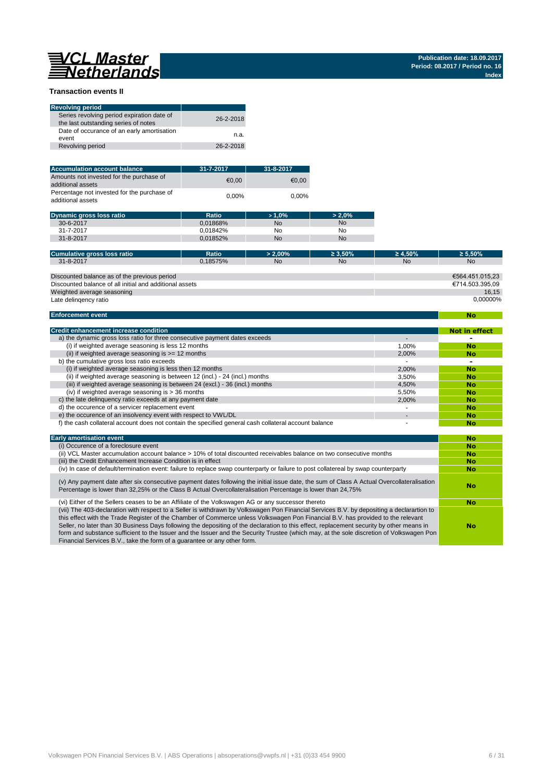# 

**No**

#### **Transaction events II**

| <b>Revolving period</b>                                                            |           |
|------------------------------------------------------------------------------------|-----------|
| Series revolving period expiration date of<br>the last outstanding series of notes | 26-2-2018 |
| Date of occurance of an early amortisation<br>event                                | n.a.      |
| Revolving period                                                                   | 26-2-2018 |

| <b>Accumulation account balance</b>                              | 31-7-2017 | 31-8-2017 |
|------------------------------------------------------------------|-----------|-----------|
| Amounts not invested for the purchase of<br>additional assets    | €0.00     | €0.00     |
| Percentage not invested for the purchase of<br>additional assets | $0.00\%$  | 0.00%     |

| <b>Dynamic gross loss ratio</b> | Ratio    | $>1.0\%$  | $> 2.0\%$ |
|---------------------------------|----------|-----------|-----------|
| 30-6-2017                       | 0.01868% | <b>No</b> | <b>No</b> |
| 31-7-2017                       | 0.01842% | No        | No        |
| 31-8-2017                       | 0.01852% | <b>No</b> | No        |

| Cumulative gross loss ratio                             | Ratio    | $> 2.00\%$ | $\geq 3.50\%$ | $\geq 4.50\%$ | $\geq 5.50\%$   |
|---------------------------------------------------------|----------|------------|---------------|---------------|-----------------|
| 31-8-2017                                               | 0.18575% | <b>No</b>  | <b>No</b>     | <b>No</b>     | <b>No</b>       |
|                                                         |          |            |               |               |                 |
| Discounted balance as of the previous period            |          |            |               |               | €564.451.015.23 |
| Discounted balance of all initial and additional assets |          |            |               |               | €714.503.395.09 |
| Weighted average seasoning                              |          |            |               |               | 16.15           |
| Late delingency ratio                                   |          |            |               |               | 0.00000%        |

#### **Enforcement event**

| <b>Credit enhancement increase condition</b>                                                          |       | <b>Not in effect</b> |
|-------------------------------------------------------------------------------------------------------|-------|----------------------|
| a) the dynamic gross loss ratio for three consecutive payment dates exceeds                           |       |                      |
| (i) if weighted average seasoning is less 12 months                                                   | 1.00% | <b>No</b>            |
| (ii) if weighted average seasoning is $>= 12$ months                                                  | 2.00% | <b>No</b>            |
| b) the cumulative gross loss ratio exceeds                                                            |       | -                    |
| (i) if weighted average seasoning is less then 12 months                                              | 2.00% | <b>No</b>            |
| (ii) if weighted average seasoning is between 12 (incl.) - 24 (incl.) months                          | 3.50% | <b>No</b>            |
| (iii) if weighted average seasoning is between 24 (excl.) - 36 (incl.) months                         | 4.50% | <b>No</b>            |
| (iv) if weighted average seasoning is $>$ 36 months                                                   | 5.50% | <b>No</b>            |
| c) the late delinguency ratio exceeds at any payment date                                             | 2.00% | <b>No</b>            |
| d) the occurence of a servicer replacement event                                                      |       | <b>No</b>            |
| e) the occurence of an insolvency event with respect to VWL/DL                                        |       | <b>No</b>            |
| f) the cash collateral account does not contain the specified general cash collateral account balance |       | No                   |

| <b>Early amortisation event</b>                                                                                                                                                                                                                                                                                                                                                                                                                                                                                                                                                                                                                    | No        |
|----------------------------------------------------------------------------------------------------------------------------------------------------------------------------------------------------------------------------------------------------------------------------------------------------------------------------------------------------------------------------------------------------------------------------------------------------------------------------------------------------------------------------------------------------------------------------------------------------------------------------------------------------|-----------|
| (i) Occurence of a foreclosure event                                                                                                                                                                                                                                                                                                                                                                                                                                                                                                                                                                                                               | <b>No</b> |
| (ii) VCL Master accumulation account balance > 10% of total discounted receivables balance on two consecutive months                                                                                                                                                                                                                                                                                                                                                                                                                                                                                                                               | <b>No</b> |
| (iii) the Credit Enhancement Increase Condition is in effect                                                                                                                                                                                                                                                                                                                                                                                                                                                                                                                                                                                       | <b>No</b> |
| (iv) In case of default/termination event: failure to replace swap counterparty or failure to post collatereal by swap counterparty                                                                                                                                                                                                                                                                                                                                                                                                                                                                                                                | <b>No</b> |
| (v) Any payment date after six consecutive payment dates following the initial issue date, the sum of Class A Actual Overcollateralisation<br>Percentage is lower than 32,25% or the Class B Actual Overcollateralisation Percentage is lower than 24,75%                                                                                                                                                                                                                                                                                                                                                                                          | No        |
| (vi) Either of the Sellers ceases to be an Affiliate of the Volkswagen AG or any successor thereto                                                                                                                                                                                                                                                                                                                                                                                                                                                                                                                                                 | <b>No</b> |
| (vii) The 403-declaration with respect to a Seller is withdrawn by Volkswagen Pon Financial Services B.V. by depositing a declarartion to<br>this effect with the Trade Register of the Chamber of Commerce unless Volkswagen Pon Financial B.V. has provided to the relevant<br>Seller, no later than 30 Business Days following the depositing of the declaration to this effect, replacement security by other means in<br>form and substance sufficient to the Issuer and the Issuer and the Security Trustee (which may, at the sole discretion of Volkswagen Pon<br>Financial Services B.V., take the form of a quarantee or any other form. | No        |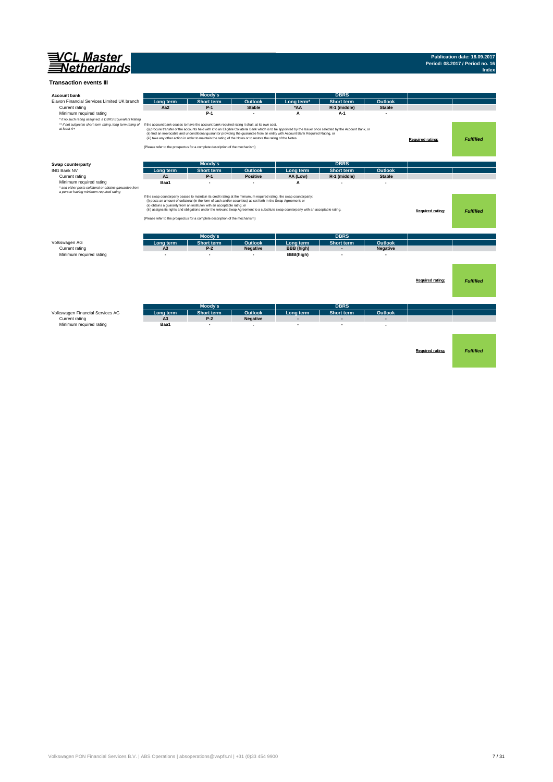

#### **Transaction events III**

| <b>Account bank</b>                                                                                                                                                                                                                             |                | Moody's                                                                                                                                                                                                                                                                                                              |                          |                                                                                                                                                                                                                                                                                                    | <b>DBRS</b>       |                 |                         |                  |
|-------------------------------------------------------------------------------------------------------------------------------------------------------------------------------------------------------------------------------------------------|----------------|----------------------------------------------------------------------------------------------------------------------------------------------------------------------------------------------------------------------------------------------------------------------------------------------------------------------|--------------------------|----------------------------------------------------------------------------------------------------------------------------------------------------------------------------------------------------------------------------------------------------------------------------------------------------|-------------------|-----------------|-------------------------|------------------|
| Elavon Financial Services Limited UK branch                                                                                                                                                                                                     | Long term      | <b>Short term</b>                                                                                                                                                                                                                                                                                                    | Outlook                  | Long term <sup>*</sup>                                                                                                                                                                                                                                                                             | <b>Short term</b> | Outlook         |                         |                  |
| Current rating                                                                                                                                                                                                                                  | Aa2            | $P-1$                                                                                                                                                                                                                                                                                                                | <b>Stable</b>            | *AA                                                                                                                                                                                                                                                                                                | R-1 (middle)      | <b>Stable</b>   |                         |                  |
| Minimum required rating<br>* if no such rating assigned, a DBRS Equivalent Rating<br>** if not subject to short-term rating, long term rating of If the account bank ceases to have the account bank required rating it shall, at its own cost, |                | $P-1$                                                                                                                                                                                                                                                                                                                | $\overline{\phantom{a}}$ | A                                                                                                                                                                                                                                                                                                  | A-1               |                 |                         |                  |
| at least A+                                                                                                                                                                                                                                     |                | (iii) take any other action in order to maintain the rating of the Notes or to restore the rating of the Notes.<br>(Please refer to the prospectus for a complete description of the mechanism)                                                                                                                      |                          | (i) procure transfer of the accounts held with it to an Eligible Collateral Bank which is to be appointed by the Issuer once selected by the Account Bank, or<br>(ii) find an irrevocable and unconditional guarantor providing the guarantee from an entity with Account Bank Required Rating, or |                   |                 | <b>Required rating:</b> | <b>Fulfilled</b> |
| Swap counterparty                                                                                                                                                                                                                               |                | Moody's                                                                                                                                                                                                                                                                                                              |                          |                                                                                                                                                                                                                                                                                                    | <b>DBRS</b>       |                 |                         |                  |
| <b>ING Bank NV</b>                                                                                                                                                                                                                              | Long term      | <b>Short term</b>                                                                                                                                                                                                                                                                                                    | Outlook                  | Long term                                                                                                                                                                                                                                                                                          | Short term        | Outlook         |                         |                  |
| Current rating                                                                                                                                                                                                                                  | A1             | $P-1$                                                                                                                                                                                                                                                                                                                | <b>Positive</b>          | AA (Low)                                                                                                                                                                                                                                                                                           | R-1 (middle)      | <b>Stable</b>   |                         |                  |
| Minimum required rating                                                                                                                                                                                                                         | Baa1           | ٠                                                                                                                                                                                                                                                                                                                    |                          | A                                                                                                                                                                                                                                                                                                  |                   |                 |                         |                  |
| * and either posts collateral or obtains garuantee from<br>a person having minimum required rating                                                                                                                                              |                | If the swap counterparty ceases to maintain its credit rating at the miniumum required rating, the swap counterparty:<br>(i) posts an amount of collateral (in the form of cash and/or securities) as set forth in the Swap Agreement; or<br>(ii) obtains a guaranty from an instituton with an acceptable ratng; or |                          | (iii) assigns its rights and obligations under the relevant Swap Agreement to a substitute swap counterparty with an acceptable rating.                                                                                                                                                            |                   |                 |                         |                  |
|                                                                                                                                                                                                                                                 |                |                                                                                                                                                                                                                                                                                                                      |                          |                                                                                                                                                                                                                                                                                                    |                   |                 | Required rating:        | <b>Fulfilled</b> |
|                                                                                                                                                                                                                                                 |                | (Please refer to the prospectus for a complete description of the mechanism)                                                                                                                                                                                                                                         |                          |                                                                                                                                                                                                                                                                                                    |                   |                 |                         |                  |
|                                                                                                                                                                                                                                                 |                |                                                                                                                                                                                                                                                                                                                      |                          |                                                                                                                                                                                                                                                                                                    |                   |                 |                         |                  |
|                                                                                                                                                                                                                                                 |                | Moody's                                                                                                                                                                                                                                                                                                              |                          |                                                                                                                                                                                                                                                                                                    | <b>DBRS</b>       |                 |                         |                  |
| Volkswagen AG                                                                                                                                                                                                                                   | Long term      | <b>Short term</b>                                                                                                                                                                                                                                                                                                    | Outlook                  | Long term                                                                                                                                                                                                                                                                                          | <b>Short term</b> | <b>Outlook</b>  |                         |                  |
| Current rating                                                                                                                                                                                                                                  | A <sub>3</sub> | $P-2$                                                                                                                                                                                                                                                                                                                | <b>Negative</b>          | <b>BBB</b> (high)                                                                                                                                                                                                                                                                                  | $\overline{a}$    | <b>Negative</b> |                         |                  |
| Minimum required rating                                                                                                                                                                                                                         |                | ۰                                                                                                                                                                                                                                                                                                                    |                          | BBB(high)                                                                                                                                                                                                                                                                                          |                   |                 |                         |                  |
|                                                                                                                                                                                                                                                 |                |                                                                                                                                                                                                                                                                                                                      |                          |                                                                                                                                                                                                                                                                                                    |                   |                 |                         |                  |
|                                                                                                                                                                                                                                                 |                |                                                                                                                                                                                                                                                                                                                      |                          |                                                                                                                                                                                                                                                                                                    |                   |                 |                         |                  |
|                                                                                                                                                                                                                                                 |                |                                                                                                                                                                                                                                                                                                                      |                          |                                                                                                                                                                                                                                                                                                    |                   |                 |                         |                  |
|                                                                                                                                                                                                                                                 |                |                                                                                                                                                                                                                                                                                                                      |                          |                                                                                                                                                                                                                                                                                                    |                   |                 |                         |                  |
|                                                                                                                                                                                                                                                 |                |                                                                                                                                                                                                                                                                                                                      |                          |                                                                                                                                                                                                                                                                                                    |                   |                 | Required rating:        | <b>Fulfilled</b> |
|                                                                                                                                                                                                                                                 |                |                                                                                                                                                                                                                                                                                                                      |                          |                                                                                                                                                                                                                                                                                                    |                   |                 |                         |                  |
|                                                                                                                                                                                                                                                 |                |                                                                                                                                                                                                                                                                                                                      |                          |                                                                                                                                                                                                                                                                                                    |                   |                 |                         |                  |
|                                                                                                                                                                                                                                                 |                |                                                                                                                                                                                                                                                                                                                      |                          |                                                                                                                                                                                                                                                                                                    |                   |                 |                         |                  |
|                                                                                                                                                                                                                                                 |                | Moody's                                                                                                                                                                                                                                                                                                              |                          |                                                                                                                                                                                                                                                                                                    | <b>DBRS</b>       |                 |                         |                  |
| Volkswagen Financial Services AG                                                                                                                                                                                                                | Long term      | <b>Short term</b>                                                                                                                                                                                                                                                                                                    | Outlook                  | Long term<br>٠                                                                                                                                                                                                                                                                                     | Short term        | Outlook         |                         |                  |
| Current rating                                                                                                                                                                                                                                  | A <sub>3</sub> | $P-2$                                                                                                                                                                                                                                                                                                                | <b>Negative</b>          |                                                                                                                                                                                                                                                                                                    |                   |                 |                         |                  |
| Minimum required rating                                                                                                                                                                                                                         | Baa1           |                                                                                                                                                                                                                                                                                                                      |                          |                                                                                                                                                                                                                                                                                                    |                   |                 |                         |                  |
|                                                                                                                                                                                                                                                 |                |                                                                                                                                                                                                                                                                                                                      |                          |                                                                                                                                                                                                                                                                                                    |                   |                 |                         |                  |
|                                                                                                                                                                                                                                                 |                |                                                                                                                                                                                                                                                                                                                      |                          |                                                                                                                                                                                                                                                                                                    |                   |                 |                         |                  |
|                                                                                                                                                                                                                                                 |                |                                                                                                                                                                                                                                                                                                                      |                          |                                                                                                                                                                                                                                                                                                    |                   |                 |                         |                  |
|                                                                                                                                                                                                                                                 |                |                                                                                                                                                                                                                                                                                                                      |                          |                                                                                                                                                                                                                                                                                                    |                   |                 | Required rating:        | <b>Fulfilled</b> |
|                                                                                                                                                                                                                                                 |                |                                                                                                                                                                                                                                                                                                                      |                          |                                                                                                                                                                                                                                                                                                    |                   |                 |                         |                  |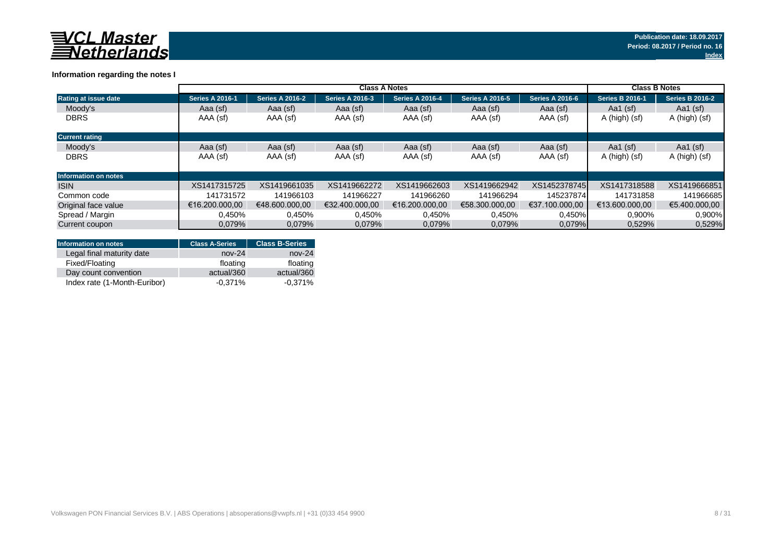

### **Information regarding the notes I**

|                             | <b>Class A Notes</b>   |                        |                        |                        |                        |                        |                        | <b>Class B Notes</b>   |  |
|-----------------------------|------------------------|------------------------|------------------------|------------------------|------------------------|------------------------|------------------------|------------------------|--|
| Rating at issue date        | <b>Series A 2016-1</b> | <b>Series A 2016-2</b> | <b>Series A 2016-3</b> | <b>Series A 2016-4</b> | <b>Series A 2016-5</b> | <b>Series A 2016-6</b> | <b>Series B 2016-1</b> | <b>Series B 2016-2</b> |  |
| Moody's                     | Aaa (sf)               | Aaa (sf)               | Aaa (sf)               | Aaa (sf)               | Aaa (sf)               | Aaa (sf)               | Aa1 $(sf)$             | Aa1 $(sf)$             |  |
| <b>DBRS</b>                 | AAA (sf)               | AAA (sf)               | AAA (sf)               | AAA (sf)               | AAA (sf)               | AAA (sf)               | A (high) (sf)          | A (high) (sf)          |  |
| <b>Current rating</b>       |                        |                        |                        |                        |                        |                        |                        |                        |  |
| Moody's                     | Aaa (sf)               | Aaa (sf)               | Aaa (sf)               | Aaa (sf)               | Aaa (sf)               | Aaa (sf)               | Aa1 $(sf)$             | Aa1 $(sf)$             |  |
| <b>DBRS</b>                 | AAA (sf)               | AAA (sf)               | AAA (sf)               | AAA (sf)               | AAA (sf)               | AAA (sf)               | A (high) (sf)          | A (high) (sf)          |  |
| <b>Information on notes</b> |                        |                        |                        |                        |                        |                        |                        |                        |  |
| <b>ISIN</b>                 | XS1417315725           | XS1419661035           | XS1419662272           | XS1419662603           | XS1419662942           | XS1452378745           | XS1417318588           | XS1419666851           |  |
| Common code                 | 141731572              | 141966103              | 141966227              | 141966260              | 141966294              | 145237874              | 141731858              | 141966685              |  |
| Original face value         | €16.200.000.00         | €48.600.000.00         | €32.400.000.00         | €16.200.000.00         | €58.300.000.00         | €37.100.000.00         | €13.600.000.00         | €5.400.000.00          |  |
| Spread / Margin             | 0,450%                 | 0,450%                 | 0,450%                 | 0,450%                 | 0,450%                 | 0,450%                 | 0,900%                 | 0.900%                 |  |
| Current coupon              | 0,079%                 | 0.079%                 | 0,079%                 | 0.079%                 | 0.079%                 | 0.079%                 | 0,529%                 | 0,529%                 |  |

| <b>Information on notes</b>  | <b>Class A-Series</b> | <b>Class B-Series</b> |
|------------------------------|-----------------------|-----------------------|
| Legal final maturity date    | $nov-24$              | $nov-24$              |
| Fixed/Floating               | floating              | floating              |
| Day count convention         | actual/360            | actual/360            |
| Index rate (1-Month-Euribor) | $-0.371\%$            | $-0.371%$             |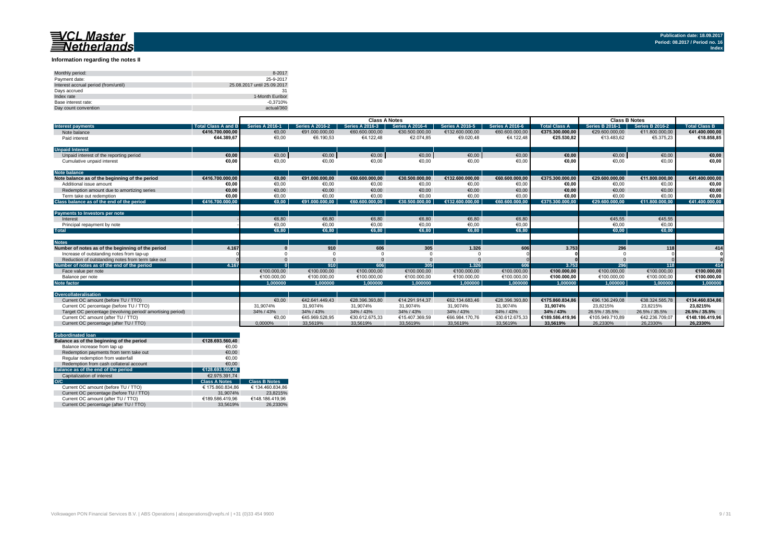#### **Information regarding the notes II**

| Monthly period:                      | 8-2017                      |
|--------------------------------------|-----------------------------|
| Payment date:                        | 25-9-2017                   |
| Interest accrual period (from/until) | 25.08.2017 until 25.09.2017 |
| Days accrued                         | 31                          |
| Index rate                           | 1-Month Euribor             |
| Base interest rate:                  | $-0.3710%$                  |
| Day count convention                 | actual/360                  |

|                                                                   | <b>Class A Notes</b>   |                        |                        |                        | <b>Class B Notes</b>   |                        |                      |                        |                        |                      |
|-------------------------------------------------------------------|------------------------|------------------------|------------------------|------------------------|------------------------|------------------------|----------------------|------------------------|------------------------|----------------------|
| <b>Total Class A and B</b><br><b>Interest payments</b>            | <b>Series A 2016-1</b> | <b>Series A 2016-2</b> | <b>Series A 2016-3</b> | <b>Series A 2016-4</b> | <b>Series A 2016-5</b> | <b>Series A 2016-6</b> | <b>Total Class A</b> | <b>Series B 2016-1</b> | <b>Series B 2016-2</b> | <b>Total Class B</b> |
| Note balance<br>€416.700.000.00                                   | €0.00                  | €91.000.000.00         | €60.600.000.00         | €30.500.000.00         | €132,600,000,00        | €60.600.000,00         | €375.300.000.00      | €29.600.000.00         | €11.800.000,00         | €41.400.000.00       |
| €44.389,67<br>Paid interest                                       | €0,00                  | €6.190,53              | €4.122,48              | €2.074.85              | €9.020,48              | €4.122,48              | €25.530.82           | €13.483.62             | €5.375,23              | €18.858,85           |
| <b>Unpaid Interest</b>                                            |                        |                        |                        |                        |                        |                        |                      |                        |                        |                      |
| Unpaid interest of the reporting period<br>€0.00                  | $\epsilon$ 0,00        | €0,00                  | €0,00                  | €0,00                  | €0,00                  | €0,00                  | €0,00                | €0,00                  | €0,00                  | €0,00                |
| Cumulative unpaid interest<br>€0.00                               | €0,00                  | €0,00                  | €0,00                  | €0,00                  | €0,00                  | €0,00                  | €0.00                | €0,00                  | €0,00                  | €0,00                |
| <b>Note balance</b>                                               |                        |                        |                        |                        |                        |                        |                      |                        |                        |                      |
| €416.700.000.00<br>Note balance as of the beginning of the period | €0,00                  | €91.000.000,00         | €60.600.000.00         | €30.500.000.00         | €132.600.000.00        | €60.600.000,00         | €375.300.000.00      | €29.600.000.00         | €11.800.000,00         | €41.400.000,00       |
| €0.00<br>Additional issue amount                                  | €0.00                  | €0.00                  | €0,00                  | €0,00                  | €0.00                  | €0,00                  | €0.00                | €0.00                  | €0,00                  | €0,00                |
| €0.00<br>Redemption amount due to amortizing series               | €0,00                  | €0.00                  | €0,00                  | €0,00                  | €0.00                  | €0,00                  | €0,00                | €0.00                  | €0,00                  | €0,00                |
| €0.00<br>Term take out redemption                                 | €0.00                  | €0.00                  | €0.00                  | €0.00                  | €0.00                  | €0.00                  | €0.00                | €0.00                  | €0.00                  | €0,00                |
| Class balance as of the end of the period<br>€416.700.000.00      | $\epsilon$ 0.00        | €91.000.000.00         | €60.600.000.00         | €30.500.000.00         | €132.600.000.00        | €60.600.000.00         | €375.300.000.00      | €29.600.000.00         | €11.800.000.00         | €41.400.000.00       |
| Payments to Investors per note                                    |                        |                        |                        |                        |                        |                        |                      |                        |                        |                      |
| Interest                                                          | €6,80                  | €6.80                  | €6,80                  | €6.80                  | €6.80                  | €6,80                  |                      | €45.55                 | €45,55                 |                      |
| Principal repayment by note                                       | €0,00                  | €0.00                  | €0.00                  | €0,00                  | €0.00                  | €0,00                  |                      | €0.00                  | €0,00                  |                      |
| <b>Total</b>                                                      | €6.80                  | €6.80                  | €6.80                  | €6.80                  | €6.80                  | €6.80                  |                      | €0.00                  | €0.00                  |                      |
|                                                                   |                        |                        |                        |                        |                        |                        |                      |                        |                        |                      |
| <b>Notes</b>                                                      |                        |                        |                        |                        |                        |                        |                      |                        |                        |                      |
| Number of notes as of the beginning of the period<br>4.167        |                        | 910                    | 606                    | 305                    | 1.326                  | 606                    | 3.753                | 296                    | 118                    | 414                  |
| Increase of outstanding notes from tap-up                         |                        |                        |                        |                        |                        |                        |                      |                        |                        |                      |
| Reduction of outstanding notes from term take out                 |                        |                        |                        |                        |                        |                        |                      |                        |                        |                      |
| Number of notes as of the end of the period<br>4.167              |                        | 910                    | 606                    | 305                    | 1.326                  | 606                    | 3.753                | 296                    | 118                    | 414                  |
| Face value per note                                               | €100,000,00            | €100,000,00            | €100,000,00            | €100,000,00            | €100,000,00            | €100,000,00            | €100.000.00          | €100,000.00            | €100,000,00            | €100.000,00          |
| Balance per note                                                  | €100.000,00            | €100,000.00            | €100.000,00            | €100.000,00            | €100.000,00            | €100.000,00            | €100.000,00          | €100.000,00            | €100.000,00            | €100.000,00          |
| Note factor                                                       | 1.000000               | 1.000000               | 1.000000               | 1.000000               | 1.000000               | 1.000000               | 1.000000             | 1.000000               | 1.000000               | 1.000000             |
| Overcollateralisation                                             |                        |                        |                        |                        |                        |                        |                      |                        |                        |                      |
| Current OC amount (before TU / TTO)                               | €0.00                  | €42.641.449.43         | €28.396.393.80         | €14.291.914.37         | €62.134.683.46         | €28.396.393.80         | €175.860.834.86      | €96.136.249.08         | €38.324.585.78         | €134.460.834.86      |
| Current OC percentage (before TU / TTO)                           | 31,9074%               | 31,9074%               | 31,9074%               | 31,9074%               | 31,9074%               | 31,9074%               | 31.9074%             | 23,8215%               | 23,8215%               | 23.8215%             |
| Target OC percentage (revolving period/amortising period)         | 34% / 43%              | 34% / 43%              | 34% / 43%              | 34% / 43%              | 34% / 43%              | 34% / 43%              | 34% / 43%            | 26.5% / 35.5%          | 26.5% / 35.5%          | 26.5% / 35.5%        |
| Current OC amount (after TU / TTO)                                | €0,00                  | €45.969.528,95         | €30.612.675.33         | €15.407.369,59         | €66.984.170,76         | €30.612.675,33         | €189.586.419,96      | €105.949.710.89        | €42.236.709,07         | €148.186.419,96      |
| Current OC percentage (after TU / TTO)                            | 0.0000%                | 33.5619%               | 33.5619%               | 33.5619%               | 33.5619%               | 33.5619%               | 33.5619%             | 26.2330%               | 26.2330%               | 26.2330%             |

| <b>Subordinated loan</b>                  |                      |                      |
|-------------------------------------------|----------------------|----------------------|
| Balance as of the beginning of the period | €128.693.560.40      |                      |
| Balance increase from tap up              | €0.00                |                      |
| Redemption payments from term take out    | €0.00                |                      |
| Regular redemption from waterfall         | €0.00                |                      |
| Redemption from cash collateral account   | €0.00                |                      |
| Balance as of the end of the period       | €128.693.560.40      |                      |
| Capitalization of interest                | €2.975.391.74        |                      |
| O/C                                       | <b>Class A Notes</b> | <b>Class B Notes</b> |
| Current OC amount (before TU / TTO)       | € 175.860.834.86     | € 134.460.834.86     |
| Current OC percentage (before TU / TTO)   | 31.9074%             | 23.8215%             |
| Current OC amount (after TU / TTO)        | €189.586.419.96      | €148.186.419.96      |
| Current OC percentage (after TU / TTO)    | 33.5619%             | 26.2330%             |
|                                           |                      |                      |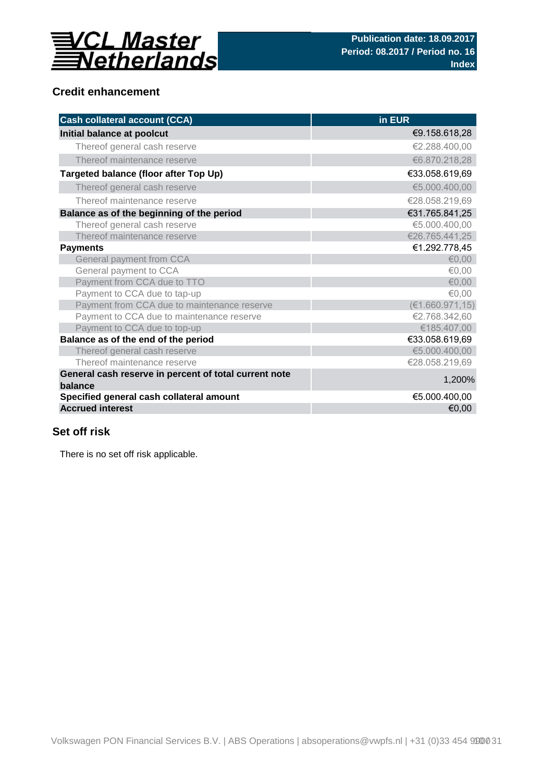

## **Credit enhancement**

| <b>Cash collateral account (CCA)</b>                             | in EUR           |
|------------------------------------------------------------------|------------------|
| Initial balance at poolcut                                       | €9.158.618,28    |
| Thereof general cash reserve                                     | €2.288.400,00    |
| Thereof maintenance reserve                                      | €6.870.218,28    |
| Targeted balance (floor after Top Up)                            | €33.058.619,69   |
| Thereof general cash reserve                                     | €5.000.400,00    |
| Thereof maintenance reserve                                      | €28.058.219,69   |
| Balance as of the beginning of the period                        | €31.765.841,25   |
| Thereof general cash reserve                                     | €5.000.400,00    |
| Thereof maintenance reserve                                      | €26.765.441,25   |
| <b>Payments</b>                                                  | €1.292.778,45    |
| General payment from CCA                                         | € $0,00$         |
| General payment to CCA                                           | €0,00            |
| Payment from CCA due to TTO                                      | € $0,00$         |
| Payment to CCA due to tap-up                                     | €0,00            |
| Payment from CCA due to maintenance reserve                      | (E1.660.971, 15) |
| Payment to CCA due to maintenance reserve                        | €2.768.342,60    |
| Payment to CCA due to top-up                                     | €185.407,00      |
| Balance as of the end of the period                              | €33.058.619,69   |
| Thereof general cash reserve                                     | €5.000.400,00    |
| Thereof maintenance reserve                                      | €28.058.219,69   |
| General cash reserve in percent of total current note<br>balance | 1,200%           |
| Specified general cash collateral amount                         | €5.000.400,00    |
| <b>Accrued interest</b>                                          | €0,00            |

## **Set off risk**

There is no set off risk applicable.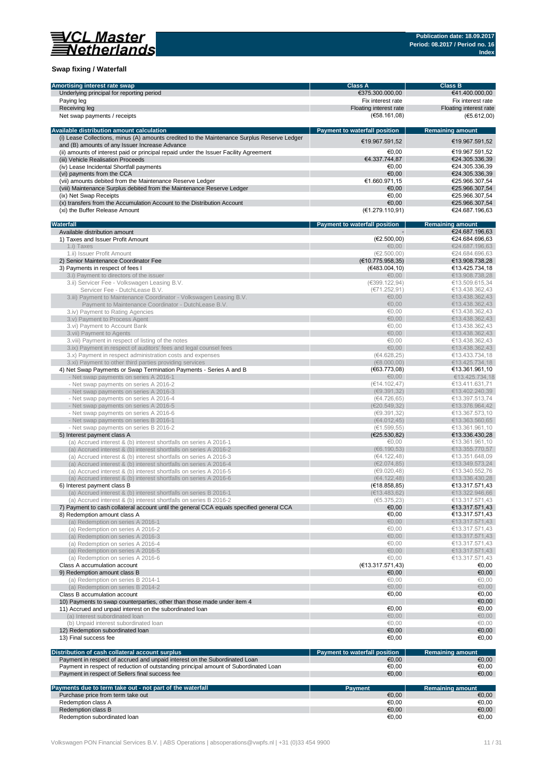

### **Swap fixing / Waterfall**

| Amortising interest rate swap                                                               | <b>Class A</b>                       | <b>Class B</b>          |
|---------------------------------------------------------------------------------------------|--------------------------------------|-------------------------|
| Underlying principal for reporting period                                                   | €375.300.000,00                      | €41.400.000,00          |
|                                                                                             |                                      |                         |
| Paying leg                                                                                  | Fix interest rate                    | Fix interest rate       |
| Receiving leg                                                                               | Floating interest rate               | Floating interest rate  |
| Net swap payments / receipts                                                                | (E58.161,08)                         | (E5.612,00)             |
|                                                                                             |                                      |                         |
|                                                                                             |                                      |                         |
| Available distribution amount calculation                                                   | <b>Payment to waterfall position</b> | <b>Remaining amount</b> |
| (i) Lease Collections, minus (A) amounts credited to the Maintenance Surplus Reserve Ledger | €19.967.591,52                       | €19.967.591.52          |
| and (B) amounts of any Issuer Increase Advance                                              |                                      |                         |
| (ii) amounts of interest paid or principal repaid under the Issuer Facility Agreement       | €0.00                                | €19.967.591,52          |
|                                                                                             |                                      |                         |
| (iii) Vehicle Realisation Proceeds                                                          | €4.337.744,87                        | €24.305.336,39          |
| (iv) Lease Incidental Shortfall payments                                                    | €0,00                                | €24.305.336,39          |
| (vi) payments from the CCA                                                                  | €0.00                                | €24.305.336,39          |
| (vii) amounts debited from the Maintenance Reserve Ledger                                   | €1.660.971,15                        | €25.966.307,54          |
|                                                                                             | €0,00                                | €25.966.307,54          |
| (viii) Maintenance Surplus debited from the Maintenance Reserve Ledger                      |                                      |                         |
| (ix) Net Swap Receipts                                                                      | €0.00                                | €25.966.307.54          |
| (x) transfers from the Accumulation Account to the Distribution Account                     | €0,00                                | €25.966.307,54          |
| (xi) the Buffer Release Amount                                                              | (€1.279.110,91)                      | €24.687.196,63          |
|                                                                                             |                                      |                         |
|                                                                                             |                                      |                         |
| Waterfall                                                                                   | Payment to waterfall position        | <b>Remaining amount</b> |
| Available distribution amount                                                               |                                      | €24.687.196,63          |
| 1) Taxes and Issuer Profit Amount                                                           | (E2.500,00)                          | €24.684.696,63          |
|                                                                                             | €0,00                                |                         |
| 1.i) Taxes                                                                                  |                                      | €24.687.196,63          |
| 1.ii) Issuer Profit Amount                                                                  | (E2.500, 00)                         | €24.684.696,63          |
| 2) Senior Maintenance Coordinator Fee                                                       | (E10.775.958,35)                     | €13.908.738,28          |
| 3) Payments in respect of fees I                                                            | (€483.004,10)                        | €13.425.734,18          |
|                                                                                             |                                      |                         |
| 3.i) Payment to directors of the issuer                                                     | €0,00                                | €13.908.738,28          |
| 3.ii) Servicer Fee - Volkswagen Leasing B.V.                                                | (€399.122,94)                        | €13.509.615,34          |
| Servicer Fee - DutchLease B.V.                                                              | (E71.252,91)                         | €13.438.362,43          |
| 3.iii) Payment to Maintenance Coordinator - Volkswagen Leasing B.V.                         | €0,00                                | €13.438.362,43          |
|                                                                                             |                                      |                         |
| Payment to Maintenance Coordinator - DutchLease B.V.                                        | €0,00                                | €13.438.362,43          |
| 3.iv) Payment to Rating Agencies                                                            | €0.00                                | €13.438.362,43          |
| 3.v) Payment to Process Agent                                                               | €0,00                                | €13.438.362,43          |
|                                                                                             | €0.00                                | €13.438.362,43          |
| 3.vi) Payment to Account Bank                                                               |                                      |                         |
| 3. vii) Payment to Agents                                                                   | €0,00                                | €13.438.362,43          |
| 3.viii) Payment in respect of listing of the notes                                          | €0,00                                | €13.438.362,43          |
| 3.ix) Payment in respect of auditors' fees and legal counsel fees                           | €0.00                                | €13.438.362,43          |
|                                                                                             |                                      |                         |
| 3.x) Payment in respect administration costs and expenses                                   | (€4.628,25)                          | €13.433.734,18          |
| 3.xi) Payment to other third parties providing services                                     | (68.000, 00)                         | €13.425.734,18          |
| 4) Net Swap Payments or Swap Termination Payments - Series A and B                          | (€63.773,08)                         | €13.361.961,10          |
|                                                                                             | €0,00                                | €13.425.734,18          |
| - Net swap payments on series A 2016-1                                                      |                                      |                         |
| - Net swap payments on series A 2016-2                                                      | (€14.102,47)                         | €13.411.631,71          |
| - Net swap payments on series A 2016-3                                                      | (E9.391, 32)                         | €13.402.240,39          |
| - Net swap payments on series A 2016-4                                                      | (€4.726,65)                          | €13.397.513,74          |
|                                                                                             |                                      |                         |
| - Net swap payments on series A 2016-5                                                      | (E20.549, 32)                        | €13.376.964,42          |
| - Net swap payments on series A 2016-6                                                      | (69.391, 32)                         | €13.367.573,10          |
| - Net swap payments on series B 2016-1                                                      | (64.012, 45)                         | €13.363.560,65          |
| - Net swap payments on series B 2016-2                                                      | (€1.599,55)                          | €13.361.961,10          |
|                                                                                             |                                      |                         |
| 5) Interest payment class A                                                                 | (E25.530, 82)                        | €13.336.430,28          |
| (a) Accrued interest & (b) interest shortfalls on series A 2016-1                           | €0,00                                | €13.361.961,10          |
| (a) Accrued interest & (b) interest shortfalls on series A 2016-2                           | (66.190.53)                          | €13.355.770,57          |
|                                                                                             | (64.122, 48)                         | €13.351.648,09          |
| (a) Accrued interest & (b) interest shortfalls on series A 2016-3                           |                                      |                         |
| (a) Accrued interest & (b) interest shortfalls on series A 2016-4                           | (E2.074, 85)                         | €13.349.573,24          |
| (a) Accrued interest & (b) interest shortfalls on series A 2016-5                           | (69.020, 48)                         | €13.340.552,76          |
| (a) Accrued interest & (b) interest shortfalls on series A 2016-6                           | (64.122, 48)                         | €13.336.430,28          |
|                                                                                             |                                      |                         |
| 6) Interest payment class B                                                                 | (E18.858, 85)                        | €13.317.571,43          |
| (a) Accrued interest & (b) interest shortfalls on series B 2016-1                           | (E13.483, 62)                        | €13.322.946,66          |
| (a) Accrued interest & (b) interest shortfalls on series B 2016-2                           | (65.375, 23)                         | €13.317.571,43          |
|                                                                                             | €0,00                                | €13.317.571,43          |
| 7) Payment to cash collateral account until the general CCA equals specified general CCA    |                                      |                         |
| 8) Redemption amount class A                                                                | €0,00                                | €13.317.571,43          |
| (a) Redemption on series A 2016-1                                                           | €0,00                                | €13.317.571,43          |
| (a) Redemption on series A 2016-2                                                           | €0,00                                | €13.317.571,43          |
| (a) Redemption on series A 2016-3                                                           | €0,00                                | €13.317.571,43          |
|                                                                                             |                                      |                         |
| (a) Redemption on series A 2016-4                                                           | €0,00                                | €13.317.571,43          |
| (a) Redemption on series A 2016-5                                                           | €0,00                                | €13.317.571,43          |
| (a) Redemption on series A 2016-6                                                           | €0,00                                | €13.317.571,43          |
|                                                                                             |                                      |                         |
| Class A accumulation account                                                                | (E13.317.571,43)                     | €0,00                   |
| 9) Redemption amount class B                                                                | €0,00                                | €0,00                   |
| (a) Redemption on series B 2014-1                                                           | €0,00                                | €0,00                   |
| (a) Redemption on series B 2014-2                                                           | €0,00                                | €0,00                   |
|                                                                                             |                                      |                         |
| Class B accumulation account                                                                | €0,00                                | €0,00                   |
| 10) Payments to swap counterparties, other than those made under item 4                     |                                      | €0,00                   |
| 11) Accrued and unpaid interest on the subordinated loan                                    | €0,00                                | €0,00                   |
|                                                                                             |                                      |                         |
| (a) Interest subordinated loan                                                              | €0,00                                | €0,00                   |
| (b) Unpaid interest subordinated loan                                                       | €0,00                                | €0,00                   |
| 12) Redemption subordinated loan                                                            | €0,00                                | €0,00                   |
| 13) Final success fee                                                                       | €0,00                                | €0,00                   |
|                                                                                             |                                      |                         |
|                                                                                             |                                      |                         |
| Distribution of cash collateral account surplus                                             | Payment to waterfall position        | <b>Remaining amount</b> |
| Payment in respect of accrued and unpaid interest on the Subordinated Loan                  | €0,00                                | €0,00                   |
| Payment in respect of reduction of outstanding principal amount of Subordinated Loan        | €0,00                                | €0,00                   |
|                                                                                             |                                      |                         |
| Payment in respect of Sellers final success fee                                             | €0,00                                | €0,00                   |
|                                                                                             |                                      |                         |
| Payments due to term take out - not part of the waterfall                                   | <b>Payment</b>                       | <b>Remaining amount</b> |
| Purchase price from term take out                                                           | €0,00                                | €0,00                   |
|                                                                                             |                                      |                         |
| Redemption class A                                                                          | €0,00                                | €0,00                   |
| Redemption class B                                                                          | €0,00                                | €0,00                   |
| Redemption subordinated loan                                                                | €0,00                                | €0,00                   |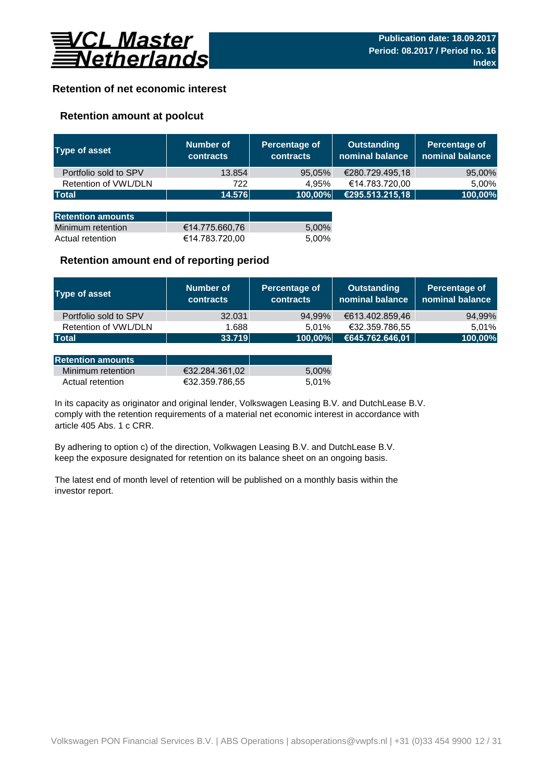

## **Retention of net economic interest**

## **Retention amount at poolcut**

| <b>Type of asset</b>     | Number of<br><b>contracts</b> | Percentage of<br><b>contracts</b> | <b>Outstanding</b><br>nominal balance | Percentage of<br>nominal balance |
|--------------------------|-------------------------------|-----------------------------------|---------------------------------------|----------------------------------|
| Portfolio sold to SPV    | 13.854                        | 95,05%                            | €280.729.495,18                       | 95,00%                           |
| Retention of VWL/DLN     | 722                           | 4.95%                             | €14.783.720,00                        | 5,00%                            |
| <b>Total</b>             | 14.576                        | 100,00%                           | €295.513.215,18                       | 100,00%                          |
|                          |                               |                                   |                                       |                                  |
| <b>Retention amounts</b> |                               |                                   |                                       |                                  |
| Minimum retention        | €14.775.660,76                | 5,00%                             |                                       |                                  |
| Actual retention         | €14.783.720,00                | 5.00%                             |                                       |                                  |

### **Retention amount end of reporting period**

| Type of asset         | Number of<br><b>contracts</b> | Percentage of<br><b>contracts</b> | Outstanding<br>nominal balance | Percentage of<br>nominal balance |
|-----------------------|-------------------------------|-----------------------------------|--------------------------------|----------------------------------|
| Portfolio sold to SPV | 32.031                        | 94,99%                            | €613.402.859,46                | 94,99%                           |
| Retention of VWL/DLN  | 1.688                         | 5.01%                             | €32.359.786.55                 | 5.01%                            |
| <b>Total</b>          | 33.719                        | 100,00%                           | €645.762.646,01                | 100,00%                          |

| <b>Retention amounts</b> |                |       |
|--------------------------|----------------|-------|
| Minimum retention        | €32.284.361.02 | 5.00% |
| Actual retention         | €32.359.786.55 | 5.01% |

article 405 Abs. 1 c CRR. In its capacity as originator and original lender, Volkswagen Leasing B.V. and DutchLease B.V. comply with the retention requirements of a material net economic interest in accordance with

By adhering to option c) of the direction, Volkwagen Leasing B.V. and DutchLease B.V. keep the exposure designated for retention on its balance sheet on an ongoing basis.

The latest end of month level of retention will be published on a monthly basis within the investor report.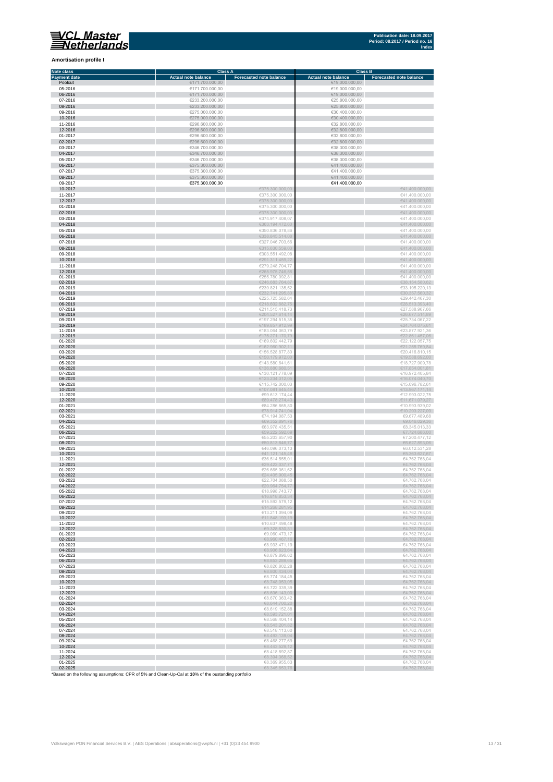

#### **Amortisation profile I**

| Note class                                                                                         |                            | <b>Class A</b>                 | <b>Class B</b>             |                                  |
|----------------------------------------------------------------------------------------------------|----------------------------|--------------------------------|----------------------------|----------------------------------|
| <b>Payment date</b>                                                                                | <b>Actual note balance</b> | <b>Forecasted note balance</b> | <b>Actual note balance</b> | <b>Forecasted note balance</b>   |
| Poolcut                                                                                            | €171.700.000,00            |                                | €19.000.000,00             |                                  |
| 05-2016                                                                                            | €171.700.000,00            |                                | €19.000.000,00             |                                  |
| 06-2016                                                                                            | €171.700.000,00            |                                | €19.000.000,00             |                                  |
| 07-2016                                                                                            | €233.200.000,00            |                                | €25.800.000.00             |                                  |
|                                                                                                    |                            |                                |                            |                                  |
| 08-2016                                                                                            | €233.200.000,00            |                                | €25.800.000,00             |                                  |
| 09-2016                                                                                            | €275.000.000,00            |                                | €30.400.000,00             |                                  |
| 10-2016                                                                                            | €275.000.000,00            |                                | €30.400.000,00             |                                  |
| 11-2016                                                                                            | €296.600.000,00            |                                | €32.800.000,00             |                                  |
| 12-2016                                                                                            | €296.600.000,00            |                                | €32.800.000,00             |                                  |
| 01-2017                                                                                            | €296.600.000,00            |                                | €32.800.000,00             |                                  |
| 02-2017                                                                                            | €296.600.000,00            |                                | €32.800.000,00             |                                  |
| 03-2017                                                                                            | €346.700.000,00            |                                | €38.300.000,00             |                                  |
| 04-2017                                                                                            | €346.700.000,00            |                                | €38.300.000,00             |                                  |
| 05-2017                                                                                            | €346.700.000,00            |                                | €38.300.000,00             |                                  |
|                                                                                                    |                            |                                |                            |                                  |
| 06-2017                                                                                            | €375.300.000,00            |                                | €41.400.000,00             |                                  |
| 07-2017                                                                                            | €375.300.000,00            |                                | €41.400.000,00             |                                  |
| 08-2017                                                                                            | €375.300.000.00            |                                | €41.400.000,00             |                                  |
| 09-2017                                                                                            | €375.300.000,00            |                                | €41.400.000,00             |                                  |
| 10-2017                                                                                            |                            | €375.300.000,00                |                            | €41.400.000,00                   |
| 11-2017                                                                                            |                            | €375.300.000,00                |                            | €41.400.000,00                   |
| 12-2017                                                                                            |                            | €375.300.000,00                |                            | €41.400.000,00                   |
| 01-2018                                                                                            |                            | €375.300.000,00                |                            | €41.400.000,00                   |
| 02-2018                                                                                            |                            | €375.300.000,00                |                            | €41.400.000,00                   |
| 03-2018                                                                                            |                            | €374.917.408,07                |                            | €41.400.000,00                   |
| 04-2018                                                                                            |                            |                                |                            | €41.400.000,00                   |
|                                                                                                    |                            | €363.194.472,60                |                            |                                  |
| 05-2018                                                                                            |                            | €350.836.078,86                |                            | €41.400.000,00                   |
| 06-2018                                                                                            |                            | €338.845.514,08                |                            | €41.400.000,00                   |
| 07-2018                                                                                            |                            | €327.046.703,66                |                            | €41.400.000,00                   |
| 08-2018                                                                                            |                            | €315.630.559,03                |                            | €41.400.000,00                   |
| 09-2018                                                                                            |                            | €303.551.492,08                |                            | €41.400.000,00                   |
| 10-2018                                                                                            |                            | €291.311.459,22                |                            | €41.400.000,00                   |
| 11-2018                                                                                            |                            | €279.248.704,77                |                            | €41.400.000,00                   |
| 12-2018                                                                                            |                            | €265.975.746,58                |                            | €41.400.000,00                   |
|                                                                                                    |                            | €255.780.092,81                |                            | €41.400.000.00                   |
| 01-2019<br>02-2019                                                                                 |                            | €246.683.764,87                |                            | €38.154.580,62                   |
| 03-2019                                                                                            |                            | €239.821.135,52                |                            | €33.195.220,13                   |
| 04-2019                                                                                            |                            | €232.741.295,80                |                            | €30.357.560,32                   |
| 05-2019                                                                                            |                            | €225.725.582,64                |                            | €29.442.467,30                   |
| 06-2019                                                                                            |                            | €218.602.682,75                |                            | €28.513.393,40                   |
| 07-2019                                                                                            |                            | €211.515.418,73                |                            | €27.588.967.66                   |
| 08-2019                                                                                            |                            | €204.527.614,14                |                            | €26.677.514,89                   |
| 09-2019                                                                                            |                            | €197.294.515,36                |                            | €25.734.067,22                   |
| 10-2019                                                                                            |                            | €189.857.912,99                |                            | €24.764.075,61                   |
| 11-2019                                                                                            |                            | €183.064.063,79                |                            | €23.877.921,36                   |
| 12-2019                                                                                            |                            | €175.271.170,79                |                            | €22.861.457,06                   |
| 01-2020                                                                                            |                            | €169.602.442,79                |                            | €22.122.057,75                   |
| 02-2020                                                                                            |                            | €162.960.902,11                |                            | €21.255.769,84                   |
| 03-2020                                                                                            |                            | €156.528.877,80                |                            | €20.416.810,15                   |
| 04-2020                                                                                            |                            | €150.179.972,00                |                            | €19.588.692,00                   |
| 05-2020                                                                                            |                            | €143.580.641,61                |                            | €18.727.909,78                   |
| 06-2020                                                                                            |                            | €136.880.680,51                |                            | €17.854.001.81                   |
| 07-2020                                                                                            |                            | €130.121.778,09                |                            | €16.972.405,84                   |
| 08-2020                                                                                            |                            | €123.234.312,05                |                            | €16.074.040,70                   |
| 09-2020                                                                                            |                            | €115.742.000,03                |                            | €15.096.782,61                   |
| 10-2020                                                                                            |                            | €107.081.645,44                |                            | €13.967.171,14                   |
| 11-2020                                                                                            |                            | €99.613.174,44                 |                            | €12.993.022,75                   |
| 12-2020                                                                                            |                            | €89.478.274,43                 |                            |                                  |
| 01-2021                                                                                            |                            | €84.286.865,80                 |                            | €11.671.079,27<br>€10.993.939,02 |
| 02-2021                                                                                            |                            | €78.914.741,04                 |                            | €10.293.227,09                   |
| 03-2021                                                                                            |                            | €74.194.087,53                 |                            | €9.677.489,68                    |
| 04-2021                                                                                            |                            | €69.352.891,76                 |                            | €9.046.029,36                    |
| 05-2021                                                                                            |                            | €63.978.435,51                 |                            | €8.345.013,33                    |
| 06-2021                                                                                            |                            | €59.222.592,69                 |                            | €7.724.686,00                    |
| 07-2021                                                                                            |                            | €55.203.657,90                 |                            | €7.200.477,12                    |
| 08-2021                                                                                            |                            | €50.813.846,77                 |                            | €6.627.893,06                    |
| 09-2021                                                                                            |                            | €46.096.073,13                 |                            | €6.012.531,28                    |
| 10-2021                                                                                            |                            | €41.121.145,48                 |                            | €5.363.627,67                    |
| 11-2021                                                                                            |                            | €36.514.555,01                 |                            | €4.762.768,04                    |
| 12-2021                                                                                            |                            | €29.422.037,71                 |                            | €4.762.768,04                    |
| 01-2022                                                                                            |                            | €26.665.061,62                 |                            | €4.762.768,04                    |
| 02-2022                                                                                            |                            | €24.405.900.45                 |                            | €4.762.768,04                    |
| 03-2022                                                                                            |                            | €22.704.088,50                 |                            | €4.762.768,04                    |
| 04-2022                                                                                            |                            |                                |                            |                                  |
| 05-2022                                                                                            |                            | €18.998.743,77                 |                            | €4.762.768,04                    |
| 06-2022                                                                                            |                            | €16.818.853,34                 |                            | €4.762.768,04                    |
| 07-2022                                                                                            |                            | €15.592.579,12                 |                            | €4.762.768,04                    |
| 08-2022                                                                                            |                            | €14.268.281,95                 |                            | €4.762.768,04                    |
| 09-2022                                                                                            |                            | €13.211.094,09                 |                            | €4.762.768,04                    |
| 10-2022                                                                                            |                            | €11.848.193,19                 |                            | €4.762.768,04                    |
| 11-2022                                                                                            |                            | €10.637.498,48                 |                            | €4.762.768,04                    |
| 12-2022                                                                                            |                            | €9.328.830,31                  |                            | €4.762.768,04                    |
| 01-2023                                                                                            |                            | €9.060.473.17                  |                            | €4.762.768,04                    |
| 02-2023                                                                                            |                            | €8.960.467,16                  |                            | €4.762.768,04                    |
| 03-2023                                                                                            |                            | €8.933.471,19                  |                            | €4.762.768,04                    |
| 04-2023                                                                                            |                            | €8.906.623,64                  |                            | €4.762.768,04                    |
| 05-2023                                                                                            |                            | €8.879.896,62                  |                            | €4.762.768,04                    |
| 06-2023                                                                                            |                            | €8.853.289,65                  |                            | €4.762.768,04                    |
| 07-2023                                                                                            |                            | €8.826.802,28                  |                            | €4.762.768,04                    |
| 08-2023                                                                                            |                            | €8.800.434,04                  |                            | €4.762.768,04                    |
| 09-2023                                                                                            |                            | €8.774.184,45                  |                            | €4.762.768,04                    |
| 10-2023                                                                                            |                            | €8.748.053,05                  |                            | €4.762.768,04                    |
| 11-2023                                                                                            |                            | €8.722.039,39                  |                            | €4.762.768,04                    |
| 12-2023                                                                                            |                            | €8.696.143,00                  |                            | €4.762.768,04                    |
| 01-2024                                                                                            |                            | €8.670.363,42                  |                            | €4.762.768,04                    |
| 02-2024                                                                                            |                            | €8.644.700.20                  |                            | €4.762.768.04                    |
| 03-2024                                                                                            |                            | €8.619.152,88                  |                            | €4.762.768,04                    |
| 04-2024                                                                                            |                            | €8.593.721,01                  |                            | €4.762.768,04                    |
| 05-2024                                                                                            |                            | €8.568.404,14                  |                            | €4.762.768,04                    |
| 06-2024                                                                                            |                            | €8.543.201,82                  |                            | €4.762.768,04                    |
| 07-2024                                                                                            |                            | €8.518.113,60                  |                            | €4.762.768,04                    |
| 08-2024                                                                                            |                            | €8,493,139,04                  |                            | €4.762.768,04                    |
| 09-2024                                                                                            |                            | €8.468.277,69                  |                            | €4.762.768,04                    |
| 10-2024                                                                                            |                            | €8.443.529,12                  |                            | €4.762.768,04                    |
| 11-2024                                                                                            |                            | €8.418.892,87                  |                            | €4.762.768,04                    |
| 12-2024                                                                                            |                            | €8.394.368,52                  |                            | €4.762.768,04                    |
| 01-2025                                                                                            |                            | €8.369.955,63                  |                            | €4.762.768,04                    |
| 02-2025                                                                                            |                            | €8.345.653,76                  |                            | €4.762.768,04                    |
| *Based on the following assumptions: CPR of 5% and Clean-Up-Cal at 10% of the oustanding portfolio |                            |                                |                            |                                  |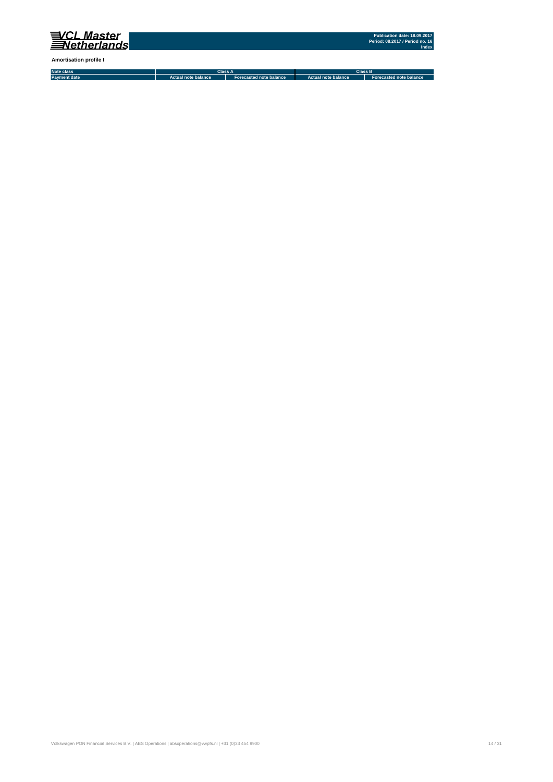

**Amortisation profile I**

**Note class Payment date Actual note balance Forecasted note balance Actual note balance2 Forecasted note balance3 Class A Class B**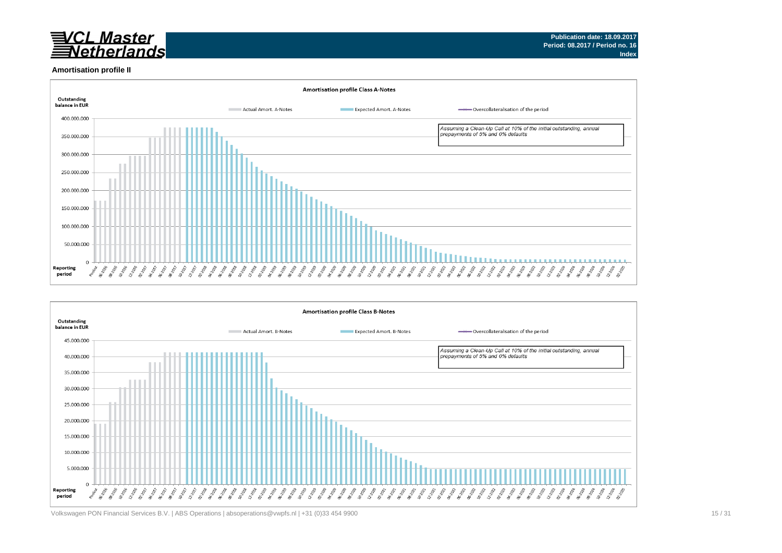

#### **Amortisation profile II**





Volkswagen PON Financial Services B.V. | ABS Operations | absoperations@vwpfs.nl | +31 (0)33 454 9900 15 / 31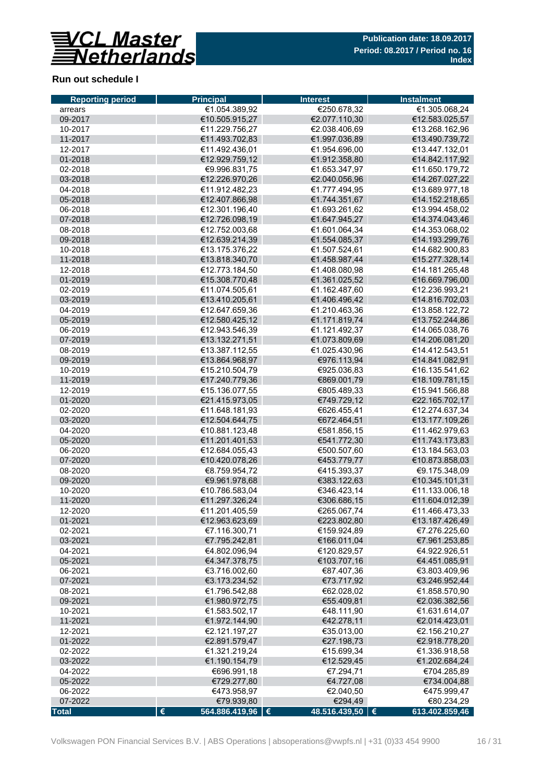

## **Run out schedule I**

| <b>Reporting period</b> | <b>Principal</b>               | <b>Interest</b>              | <b>Instalment</b>            |
|-------------------------|--------------------------------|------------------------------|------------------------------|
| arrears                 | €1.054.389,92                  | €250.678,32                  | €1.305.068,24                |
| 09-2017                 | €10.505.915,27                 | €2.077.110,30                | €12.583.025,57               |
| 10-2017                 | €11.229.756,27                 | €2.038.406,69                | €13.268.162,96               |
| 11-2017                 | €11.493.702,83                 | €1.997.036,89                | €13.490.739,72               |
| 12-2017                 | €11.492.436,01                 | €1.954.696,00                | €13.447.132,01               |
| 01-2018                 | €12.929.759,12                 | €1.912.358,80                | €14.842.117,92               |
| 02-2018                 | €9.996.831,75                  | €1.653.347,97                | €11.650.179,72               |
| 03-2018                 | €12.226.970,26                 | €2.040.056,96                | €14.267.027,22               |
| 04-2018                 | €11.912.482,23                 | €1.777.494,95                | €13.689.977,18               |
| 05-2018                 | €12.407.866,98                 | €1.744.351,67                | €14.152.218,65               |
| 06-2018                 | €12.301.196,40                 | €1.693.261,62                | €13.994.458,02               |
| 07-2018                 | €12.726.098,19                 | €1.647.945,27                | €14.374.043,46               |
| 08-2018                 | €12.752.003,68                 | €1.601.064,34                | €14.353.068,02               |
| 09-2018                 | €12.639.214,39                 | €1.554.085,37                | €14.193.299,76               |
| 10-2018                 | €13.175.376,22                 | €1.507.524,61                | €14.682.900,83               |
| 11-2018                 | €13.818.340,70                 | €1.458.987,44                | €15.277.328,14               |
| 12-2018                 | €12.773.184,50                 | €1.408.080,98                | €14.181.265,48               |
| 01-2019                 | €15.308.770,48                 | €1.361.025,52                | €16.669.796,00               |
| 02-2019                 | €11.074.505,61                 | €1.162.487,60                | €12.236.993,21               |
| 03-2019                 | €13.410.205,61                 | €1.406.496,42                | €14.816.702,03               |
| 04-2019                 | €12.647.659,36                 | €1.210.463,36                | €13.858.122,72               |
| 05-2019                 | €12.580.425,12                 | €1.171.819,74                | €13.752.244,86               |
| 06-2019                 | €12.943.546,39                 | €1.121.492,37                | €14.065.038,76               |
| 07-2019                 | €13.132.271,51                 | €1.073.809,69                | €14.206.081,20               |
| 08-2019                 | €13.387.112,55                 | €1.025.430,96                | €14.412.543,51               |
| 09-2019                 | €13.864.968,97                 | €976.113,94                  | €14.841.082,91               |
| 10-2019                 | €15.210.504,79                 | €925.036,83                  | €16.135.541,62               |
| 11-2019                 | €17.240.779,36                 | €869.001,79                  | €18.109.781,15               |
| 12-2019                 | €15.136.077,55                 | €805.489,33                  | €15.941.566,88               |
| 01-2020                 | €21.415.973,05                 | €749.729,12                  | €22.165.702,17               |
| 02-2020                 | €11.648.181,93                 | €626.455,41                  | €12.274.637,34               |
| 03-2020                 | €12.504.644,75                 | €672.464,51                  | €13.177.109,26               |
| 04-2020                 | €10.881.123,48                 | €581.856,15                  | €11.462.979,63               |
| 05-2020                 | €11.201.401,53                 | €541.772,30                  | €11.743.173,83               |
| 06-2020                 | €12.684.055,43                 | €500.507,60                  | €13.184.563,03               |
| 07-2020                 | €10.420.078,26                 | €453.779,77                  | €10.873.858,03               |
| 08-2020                 | €8.759.954,72                  | €415.393,37                  | €9.175.348,09                |
| 09-2020                 | €9.961.978,68                  | €383.122,63                  | €10.345.101,31               |
| 10-2020                 | €10.786.583,04                 | €346.423,14                  | €11.133.006,18               |
| 11-2020                 | €11.297.326,24                 | €306.686,15                  | €11.604.012,39               |
| 12-2020                 | €11.201.405,59                 | €265.067,74                  | €11.466.473,33               |
| 01-2021                 | €12.963.623,69                 | €223.802,80                  | €13.187.426,49               |
| 02-2021                 | €7.116.300,71                  | €159.924,89                  | €7.276.225,60                |
| 03-2021                 | €7.795.242,81                  | €166.011,04                  | €7.961.253,85                |
| 04-2021                 | €4.802.096.94                  | €120.829,57                  | €4.922.926,51                |
| 05-2021                 | €4.347.378,75                  | €103.707,16                  | €4.451.085,91                |
| 06-2021                 | €3.716.002,60                  | €87.407,36                   | €3.803.409,96                |
| 07-2021                 | €3.173.234,52                  | €73.717,92                   | €3.246.952,44                |
| 08-2021                 | €1.796.542,88                  | €62.028,02                   | €1.858.570,90                |
| 09-2021                 | €1.980.972,75                  | €55.409,81                   | €2.036.382,56                |
| 10-2021                 | €1.583.502,17                  | €48.111,90                   | €1.631.614,07                |
| 11-2021                 | €1.972.144,90                  | €42.278,11                   | €2.014.423,01                |
| 12-2021                 | €2.121.197,27                  | €35.013,00                   | €2.156.210,27                |
|                         |                                | €27.198,73                   |                              |
| 01-2022<br>02-2022      | €2.891.579,47<br>€1.321.219,24 |                              | €2.918.778,20                |
|                         |                                | €15.699,34                   | €1.336.918,58                |
| 03-2022                 | €1.190.154,79                  | €12.529,45                   | €1.202.684,24                |
| 04-2022                 | €696.991,18                    | €7.294,71                    | €704.285,89                  |
| 05-2022                 | €729.277,80                    | €4.727,08                    | €734.004,88                  |
| 06-2022                 | €473.958,97                    | €2.040,50                    | €475.999,47                  |
| 07-2022                 | €79.939,80<br>$\pmb{\epsilon}$ | €294,49<br>48.516.439,50   € | €80.234,29<br>613.402.859,46 |
| <b>Total</b>            | 564.886.419,96   €             |                              |                              |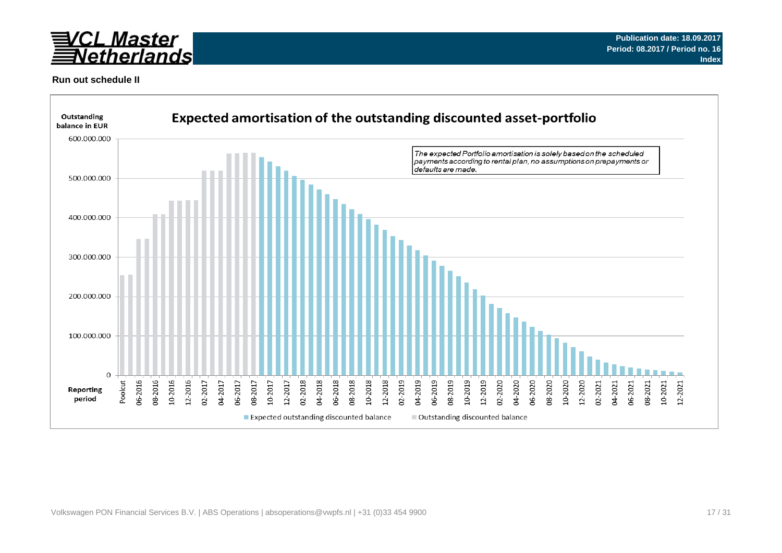

### **Run out schedule II**

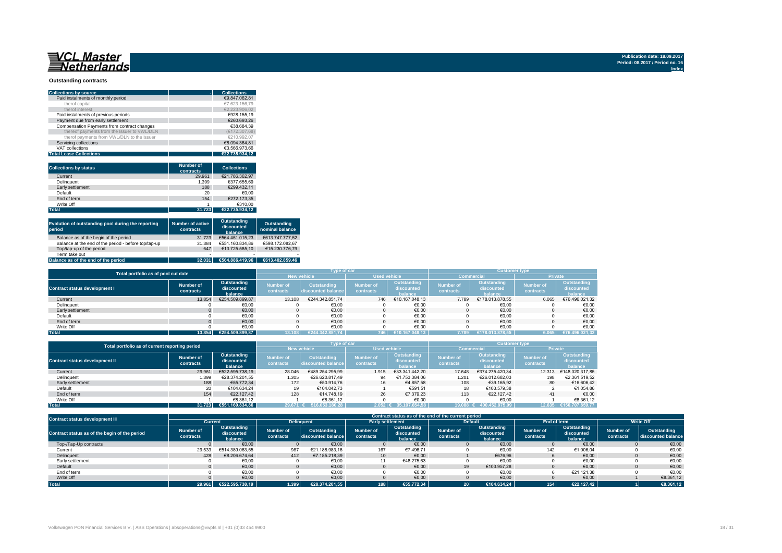## 

#### **Outstanding contracts**

| <b>Collections by source</b>                | <b>Collections</b> |
|---------------------------------------------|--------------------|
| Paid instalments of monthly period          | €9.847.062.81      |
| therof capital                              | €7.623.156.79      |
| therof interest                             | €2.223.906.02      |
| Paid instalments of previous periods        | €928.155.19        |
| Payment due from early settlement           | €260.693.26        |
| Compensation Payments from contract changes | €38.684.39         |
| thereof payments from the Issuer to VWL/DLN | (€172.307.68)      |
| therof payments from VWL/DLN to the Issuer  | €210.992.07        |
| Servicing collections                       | €8.094.364.81      |
| VAT collections                             | €3.566.973.66      |
| <b>Total Lease Collections</b>              | €22.735.934.12     |

| <b>Collections by status</b> | <b>Number of</b><br>contracts | <b>Collections</b> |
|------------------------------|-------------------------------|--------------------|
| Current                      | 29.961                        | €21.786.362.97     |
| Delinquent                   | 1.399                         | €377.655.69        |
| Early settlement             | 188                           | €299.432.11        |
| Default                      | 20                            | €0.00              |
| End of term                  | 154                           | €272.173.35        |
| Write Off                    |                               | €310.00            |
| <b>Total</b>                 | 31.723                        | €22.735.934.12     |

| Evolution of outstanding pool during the reporting<br>period | <b>Number of active</b><br>contracts | Outstanding<br>discounted<br>balance | Outstanding<br>nominal balance |
|--------------------------------------------------------------|--------------------------------------|--------------------------------------|--------------------------------|
| Balance as of the begin of the period                        | 31.723                               | €564.451.015.23                      | €613.747.777.52                |
| Balance at the end of the period - before top/tap-up         | 31.384                               | €551.160.834.86                      | €598.172.082.67                |
| Top/tap-up of the period                                     | 647                                  | €13.725.585.10                       | €15.230.776.79                 |
| Term take out                                                | $\overline{\phantom{a}}$             |                                      |                                |
| Balance as of the end of the period                          | 32.031                               | €564.886.419.96                      | €613.402.859.46                |

| Total portfolio as of pool cut date  |                        |                                      |                               | Type of car                       |                               |                                      | <b>Customer type</b>          |                                      |                               |                                      |  |
|--------------------------------------|------------------------|--------------------------------------|-------------------------------|-----------------------------------|-------------------------------|--------------------------------------|-------------------------------|--------------------------------------|-------------------------------|--------------------------------------|--|
|                                      |                        |                                      |                               | <b>New vehicle</b>                | <b>Used vehicle</b>           |                                      |                               | <b>Commercial</b>                    | Private                       |                                      |  |
| <b>Contract status development I</b> | Number of<br>contracts | Outstanding<br>discounted<br>balance | <b>Number of</b><br>contracts | Outstanding<br>discounted balance | <b>Number of</b><br>contracts | Outstanding<br>discounted<br>halance | <b>Number of</b><br>contracts | Outstanding<br>discounted<br>halance | <b>Number of</b><br>contracts | Outstanding<br>discounted<br>balance |  |
| Current                              | 13.854                 | €254.509.899.87                      | 13.108                        | €244.342.851.74                   | 746                           | €10.167.048.13                       | 7.789                         | €178.013.878.55                      | 6.065                         | €76.496.021,32                       |  |
| Delinquent                           |                        | €0.00                                |                               | €0.00                             |                               | €0,00                                |                               | €0,00                                |                               | €0,00                                |  |
| Early settlement                     |                        | €0,00                                |                               | €0,00                             |                               | €0,00                                |                               | €0,00                                |                               | €0,00                                |  |
| Default                              |                        | €0.00                                |                               | €0,00                             |                               | €0.00                                |                               | €0,00                                |                               | €0,00                                |  |
| End of term                          |                        | €0,00                                |                               | €0.00                             |                               | €0.00                                |                               | €0.00                                |                               | €0,00                                |  |
| Write Off                            |                        | €0.00                                |                               | €0.00                             |                               | €0.00                                |                               | €0.00                                |                               | €0.00                                |  |
| <b>Total</b>                         | 13.854                 | €254.509.899.87                      |                               | €244.342.851.74                   | 746                           | €10.167.048.13                       | 7.789                         | €178.013.878.55                      | 6.065                         | €76.496.021.32                       |  |

| Total portfolio as of current reporting period |                        |                                      |                               | <b>Type of car</b>                       |                               |                                      | <b>Customer type</b>          |                                      |                               |                                      |  |
|------------------------------------------------|------------------------|--------------------------------------|-------------------------------|------------------------------------------|-------------------------------|--------------------------------------|-------------------------------|--------------------------------------|-------------------------------|--------------------------------------|--|
|                                                |                        |                                      | <b>New vehicle</b>            |                                          | <b>Used vehicle</b>           |                                      | <b>Commercial</b>             |                                      | <b>Private</b>                |                                      |  |
| <b>Contract status development II</b>          | Number of<br>contracts | Outstanding<br>discounted<br>balance | <b>Number of</b><br>contracts | <b>Outstanding</b><br>discounted balance | <b>Number of</b><br>contracts | Outstanding<br>discounted<br>halance | <b>Number of</b><br>contracts | Outstanding<br>discounted<br>halance | <b>Number of</b><br>contracts | Outstanding<br>discounted<br>balance |  |
| Current                                        | 29,961                 | €522.595.738.19                      | 28.046                        | €489.254.295.99                          | 1.915                         | €33.341.442.20                       | 17.648                        | €374.275.420.34                      | 12.313                        | €148.320.317.85                      |  |
| Delinquent                                     | 1.399                  | €28.374.201.55                       | 1.305                         | €26.620.817.49                           | 94                            | €1.753.384.06                        | 1.201                         | €26.012.682.03                       | 198                           | €2.361.519.52                        |  |
| Early settlement                               | 188                    | €55.772.34                           | 172                           | €50.914.76                               | 16                            | €4.857.58                            | 108                           | €39.165.92                           | 80                            | €16.606.42                           |  |
| Default                                        | 20                     | €104.634.24                          | 19                            | €104.042.73                              |                               | €591.51                              | 18                            | €103.579.38                          |                               | €1.054.86                            |  |
| End of term                                    | 154                    | €22.127.42                           | 128                           | €14.748.19                               | 26                            | €7.379.23                            | 113                           | €22.127.42                           | 41                            | €0,00                                |  |
| Write Off                                      |                        | €8.361.12                            |                               | €8.361.12                                |                               | €0.00                                |                               | €0.00                                |                               | €8.361.12                            |  |
| <b>Total</b>                                   | 31.723                 | €551.160.834.86                      | 29.671 €                      | 516.053.180.28                           | $2.052 \in$                   | 35.107.654.58                        | 19.088 (                      | 400.452.975.09                       | 12.635                        | €150.707.859.77                      |  |

| <b>Contract status development III</b>        |                               | Contract status as of the end of the current period |                               |                                   |                        |                                      |                               |                                      |                               |                                      |                        |                                   |
|-----------------------------------------------|-------------------------------|-----------------------------------------------------|-------------------------------|-----------------------------------|------------------------|--------------------------------------|-------------------------------|--------------------------------------|-------------------------------|--------------------------------------|------------------------|-----------------------------------|
|                                               |                               | <b>Current</b>                                      |                               | <b>Delinguent</b>                 |                        | <b>Early settlement</b>              |                               | <b>Default</b>                       | End of term                   |                                      | <b>Write Off</b>       |                                   |
| Contract status as of the begin of the period | <b>Number of</b><br>contracts | Outstanding<br>discounted<br>halance                | <b>Number of</b><br>contracts | Outstanding<br>discounted balance | Number of<br>contracts | Outstanding<br>discounted<br>balance | <b>Number of</b><br>contracts | Outstanding<br>discounted<br>balance | <b>Number of</b><br>contracts | Outstanding<br>discounted<br>balance | Number of<br>contracts | Outstanding<br>discounted balance |
| Top-/Tap-Up contracts                         |                               | €0.00                                               |                               | €0.00                             |                        | €0.00                                |                               | €0.00                                |                               | €0.00                                |                        | €0,00                             |
| Current                                       | 29.533                        | €514.389.063.55                                     | 987                           | €21.188.983.16                    | 167                    | €7.496.71                            |                               | €0,00                                | 142                           | €1.006,04                            |                        | €0,00                             |
| Delinquent                                    | 428                           | €8.206.674.64                                       | 412                           | €7.185.218.39                     | 10                     | €0.00                                |                               | €676.96                              |                               | €0.00                                |                        | €0,00                             |
| Early settlement                              |                               | €0,00                                               |                               | €0,00                             | 11                     | €48.275,63                           |                               | €0,00                                |                               | €0,00                                |                        | €0,00                             |
| Default                                       |                               | €0.00                                               |                               | €0,00                             |                        | €0.00                                | 19                            | €103.957.28                          |                               | €0.00                                |                        | €0,00                             |
| End of term                                   |                               | €0.00                                               |                               | €0,00                             |                        | €0,00                                |                               | €0,00                                |                               | €21.121.38                           |                        | €0,00                             |
| Write Off                                     |                               | €0.00                                               |                               | €0,00                             |                        | €0,00                                |                               | €0,00                                |                               | €0,00                                |                        | €8.361,12                         |
| <b>Total</b>                                  | 29.961                        | €522.595.738.19                                     | 1.399                         | €28.374.201.55                    | 188                    | €55,772.34                           | 20 <sup>1</sup>               | €104.634.24                          | 154                           | €22.127.42                           |                        | €8.361,12                         |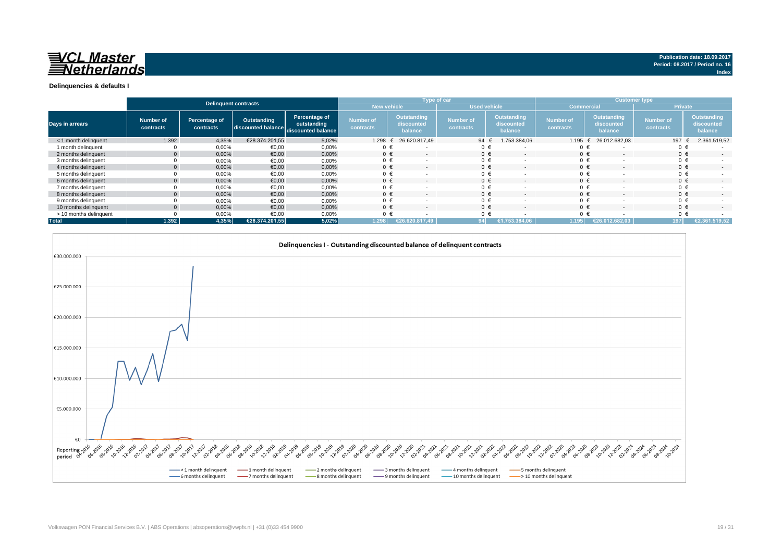

|                        |                               | <b>Delinquent contracts</b> |                                                      |                              |                               | Type of car                          |                               |                                      | <b>Customer type</b>          |                                             |                               |                                      |
|------------------------|-------------------------------|-----------------------------|------------------------------------------------------|------------------------------|-------------------------------|--------------------------------------|-------------------------------|--------------------------------------|-------------------------------|---------------------------------------------|-------------------------------|--------------------------------------|
|                        |                               |                             |                                                      |                              | <b>New vehicle</b>            |                                      | <b>Used vehicle</b>           |                                      | <b>Commercial</b>             |                                             | <b>Private</b>                |                                      |
| <b>Days in arrears</b> | <b>Number of</b><br>contracts | Percentage of<br>contracts  | Outstanding<br>discounted balance discounted balance | Percentage of<br>outstanding | <b>Number of</b><br>contracts | Outstanding<br>discounted<br>balance | <b>Number of</b><br>contracts | Outstanding<br>discounted<br>balance | <b>Number of</b><br>contracts | <b>Outstanding</b><br>discounted<br>balance | <b>Number of</b><br>contracts | Outstanding<br>discounted<br>balance |
| < 1 month delinguent   | 1.392                         | 4,35%                       | €28.374.201.55                                       | 5,02%                        | 1.298                         | 26.620.817,49                        | 94                            | 1.753.384,06                         | 1.195                         | 26.012.682,03                               | 197                           | 2.361.519,52                         |
| 1 month delinquent     |                               | 0,00%                       | €0,00                                                | 0,00%                        | 0 €                           |                                      | 0 €                           | <u>т</u>                             | $0 \in$                       |                                             | $0 \in$                       |                                      |
| 2 months delinquent    | $\Omega$                      | 0,00%                       | €0,00                                                | 0,00%                        | $0 \in$                       | $\overline{\phantom{a}}$             | $0 \in$                       | $\sim$                               | $0 \in$                       | $\overline{a}$                              | $0 \in$                       | $\sim$                               |
| 3 months delinquent    |                               | 0,00%                       | €0,00                                                | 0,00%                        | $0 \in$                       |                                      | $0 \in$                       |                                      | $0 \in$                       |                                             | $0 \in$                       |                                      |
| 4 months delinquent    | $\Omega$                      | 0,00%                       | €0,00                                                | 0,00%                        | $0 \in$                       | $\overline{\phantom{a}}$             | $0 \in$                       | $\overline{\phantom{a}}$             | $0 \in$                       |                                             | $0 \in$                       |                                      |
| 5 months delinquent    |                               | 0,00%                       | €0,00                                                | 0,00%                        | $0 \in$                       |                                      | $0 \in$                       | $\overline{\phantom{a}}$             | $0 \in$                       |                                             | $0 \in$                       |                                      |
| 6 months delinquent    | $\mathbf{0}$                  | 0,00%                       | €0,00                                                | 0,00%                        | $0 \in$                       |                                      | $0 \in$                       | $\overline{\phantom{0}}$             | $0 \in$                       |                                             | $0 \in$                       |                                      |
| 7 months delinquent    |                               | 0,00%                       | €0,00                                                | 0,00%                        | $0 \in$                       |                                      | $0 \in$                       |                                      | $0 \in$                       |                                             | $0 \in$                       |                                      |
| 8 months delinguent    | $\Omega$                      | 0,00%                       | €0.00                                                | 0.00%                        | $0 \in$                       | $\overline{\phantom{a}}$             | $0 \in$                       | $\overline{\phantom{a}}$             | $0 \in$                       |                                             | $0 \in$                       | $\overline{a}$                       |
| 9 months delinquent    |                               | 0,00%                       | €0,00                                                | 0,00%                        | $0 \in$                       |                                      | $0 \in$                       |                                      | $0 \in$                       |                                             | $0 \in$                       |                                      |
| 10 months delinquent   | $\Omega$                      | 0.00%                       | €0.00                                                | 0.00%                        | $0 \in$                       | $\overline{\phantom{a}}$             | $0 \in$                       | $\overline{\phantom{a}}$             | $0 \in$                       | $\overline{\phantom{a}}$                    | $0 \in$                       | $\sim$                               |
| > 10 months delinquent |                               | 0,00%                       | €0,00                                                | 0,00%                        | $0 \in$                       |                                      |                               |                                      | $0 \in$                       |                                             | $0 \in$                       |                                      |
| <b>Total</b>           | 1.392                         | 4.35%                       | €28.374.201.55                                       | 5,02%                        | 1.298                         | €26.620.817.49                       |                               | €1.753.384.06                        | 1.195                         | €26.012.682.03                              | 197                           | €2.361.519.52                        |

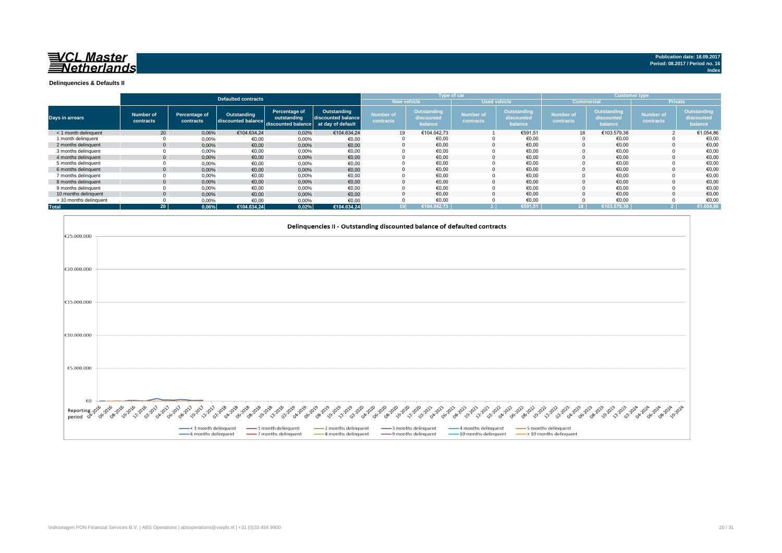

**Index**

**Delinquencies & Defaults II**

|                        |                        |                            |                                   |                                                                      |                                   |                               |                                      | <b>Type of car</b>            |                                             |                               |                                             | <b>Customer type</b>          |                                      |
|------------------------|------------------------|----------------------------|-----------------------------------|----------------------------------------------------------------------|-----------------------------------|-------------------------------|--------------------------------------|-------------------------------|---------------------------------------------|-------------------------------|---------------------------------------------|-------------------------------|--------------------------------------|
|                        |                        |                            | <b>Defaulted contracts</b>        |                                                                      |                                   |                               | <b>New vehicle</b>                   |                               | <b>Used vehicle</b>                         | <b>Commercial</b>             |                                             |                               | <b>Private</b>                       |
| Days in arrears        | Number of<br>contracts | Percentage of<br>contracts | Outstanding<br>discounted balance | Percentage of<br>outstanding<br>discounted balance at day of default | Outstanding<br>discounted balance | <b>Number of</b><br>contracts | Outstanding<br>discounted<br>balance | <b>Number of</b><br>contracts | <b>Outstanding</b><br>discounted<br>balance | <b>Number of</b><br>contracts | <b>Outstanding</b><br>discounted<br>balance | <b>Number of</b><br>contracts | Outstanding<br>discounted<br>balance |
| < 1 month delinguent   | 20                     | 0,06%                      | €104.634.24                       | 0,02%                                                                | €104.634.24                       | 19                            | €104.042.73                          |                               | €591,51                                     | 18                            | €103.579,38                                 |                               | €1.054,86                            |
| 1 month delinguent     |                        | 0,00%                      | €0,00                             | 0,00%                                                                | €0,00                             |                               | €0,00                                |                               | €0,00                                       |                               | €0,00                                       |                               | €0,00                                |
| 2 months delinguent    |                        | 0,00%                      | €0,00                             | 0,00%                                                                | €0,00                             |                               | €0,00                                |                               | €0,00                                       |                               | €0,00                                       |                               | €0,00                                |
| 3 months delinquent    |                        | 0,00%                      | €0,00                             | 0,00%                                                                | €0,00                             |                               | €0,00                                |                               | €0,00                                       |                               | €0,00                                       |                               | €0,00                                |
| 4 months delinguent    |                        | 0,00%                      | €0,00                             | 0,00%                                                                | €0,00                             |                               | €0.00                                |                               | €0.00                                       |                               | €0.00                                       |                               | €0,00                                |
| 5 months delinguent    |                        | 0,00%                      | €0.00                             | 0.00%                                                                | €0,00                             |                               | €0,00                                |                               | €0,00                                       |                               | €0,00                                       |                               | €0,00                                |
| 6 months delinguent    |                        | 0,00%                      | €0,00                             | 0,00%                                                                | €0,00                             |                               | €0,00                                |                               | €0,00                                       |                               | €0,00                                       |                               | €0,00                                |
| 7 months delinguent    |                        | 0,00%                      | €0,00                             | 0,00%                                                                | €0,00                             |                               | €0,00                                |                               | €0,00                                       |                               | €0,00                                       |                               | €0,00                                |
| 8 months delinguent    |                        | 0,00%                      | €0.00                             | 0,00%                                                                | €0,00                             |                               | €0,00                                |                               | €0,00                                       |                               | €0,00                                       |                               | €0,00                                |
| 9 months delinquent    |                        | 0,00%                      | €0,00                             | 0.00%                                                                | €0,00                             |                               | €0,00                                |                               | €0,00                                       |                               | €0,00                                       |                               | €0,00                                |
| 10 months delinguent   |                        | 0,00%                      | €0.00                             | 0,00%                                                                | €0,00                             |                               | €0.00                                |                               | €0.00                                       |                               | €0.00                                       |                               | €0,00                                |
| > 10 months delinquent |                        | 0,00%                      | €0,00                             | 0,00%                                                                | €0,00                             |                               | €0.00                                |                               | €0.00                                       |                               | €0.00                                       |                               | €0,00                                |
| <b>Total</b>           | 20 <sup>1</sup>        | 0.06%                      | €104.634.24                       | 0,02%                                                                | €104.634,24                       |                               | €104.042.73                          |                               | €591.51                                     |                               | €103.579.38                                 |                               | €1.054,86                            |

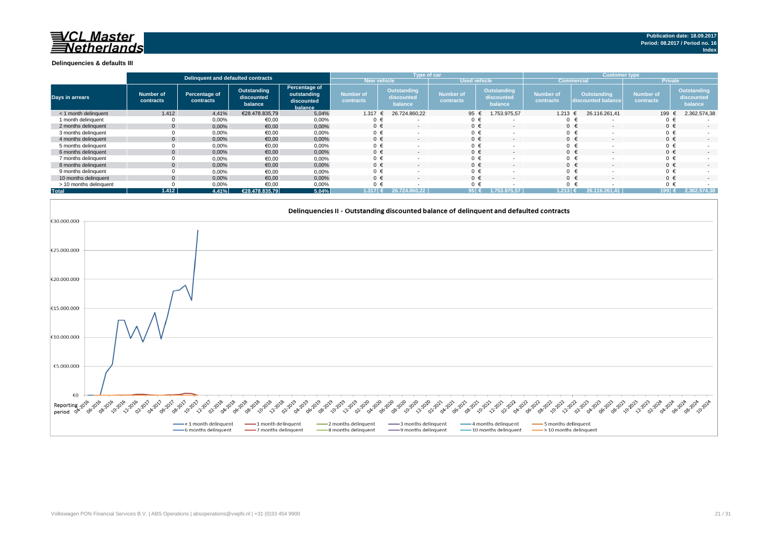#### **Delinquencies & defaults III**

|                        |                               | Delinquent and defaulted contracts |                                      |                                                       |                               | Type of car                                 |                               |                                      | <b>Customer type</b>   |                                   |                               |                                      |
|------------------------|-------------------------------|------------------------------------|--------------------------------------|-------------------------------------------------------|-------------------------------|---------------------------------------------|-------------------------------|--------------------------------------|------------------------|-----------------------------------|-------------------------------|--------------------------------------|
|                        |                               |                                    |                                      |                                                       | New vehicle                   |                                             | <b>Used vehicle</b>           |                                      | <b>Commercial</b>      |                                   | <b>Private</b>                |                                      |
| Days in arrears        | <b>Number of</b><br>contracts | Percentage of<br>contracts         | Outstanding<br>discounted<br>balance | Percentage of<br>outstanding<br>discounted<br>balance | <b>Number of</b><br>contracts | <b>Outstanding</b><br>discounted<br>balance | <b>Number of</b><br>contracts | Outstanding<br>discounted<br>balance | Number of<br>contracts | Outstanding<br>discounted balance | <b>Number of</b><br>contracts | Outstanding<br>discounted<br>balance |
| < 1 month delinquent   | 1.412                         | 4,41%                              | €28.478.835,79                       | 5,04%                                                 | 1.317                         | 26.724.860.22                               | 95 €                          | 1.753.975,57                         | $1.213 \t∈$            | 26.116.261,41                     | 199                           | 2.362.574,38                         |
| 1 month delinguent     |                               | 0,00%                              | €0,00                                | 0,00%                                                 | 0 €                           |                                             | 0 €                           |                                      |                        |                                   |                               |                                      |
| 2 months delinquent    |                               | 0,00%                              | €0,00                                | 0,00%                                                 | $0 \in$                       | $\sim$                                      | $0 \in$                       |                                      |                        | $0 \in$                           | $0 \in$                       | $\sim$                               |
| 3 months delinquent    |                               | 0,00%                              | €0,00                                | 0,00%                                                 | $0 \in$                       |                                             | $0 \in$                       |                                      |                        | $0 \in$                           | $0 \in$                       |                                      |
| 4 months delinquent    |                               | 0,00%                              | €0,00                                | 0,00%                                                 | $0 \in$                       | $\sim$                                      | $0 \in$                       |                                      |                        | $0 \in$                           | $0 \in$                       | $\sim$                               |
| 5 months delinquent    |                               | 0,00%                              | €0,00                                | 0,00%                                                 | $0 \in$                       |                                             | $0 \in$                       |                                      |                        | $0 \in$                           | $0 \in$                       |                                      |
| 6 months delinquent    |                               | 0,00%                              | €0,00                                | 0,00%                                                 | $0 \in$                       |                                             | $0 \in$                       |                                      |                        | $0 \in$                           | $0 \in$                       | $\sim$                               |
| 7 months delinquent    |                               | 0,00%                              | €0,00                                | 0,00%                                                 | $0 \in$                       |                                             | $0 \in$                       |                                      |                        | $0 \in$                           | $0 \in$                       |                                      |
| 8 months delinguent    |                               | 0,00%                              | €0,00                                | 0,00%                                                 | $0 \in$                       |                                             | $0 \in$                       |                                      |                        | $0 \in$                           | $0 \in$                       | $\sim$                               |
| 9 months delinquent    |                               | 0,00%                              | €0,00                                | 0,00%                                                 | $0 \in$                       |                                             | $0 \in$                       |                                      |                        | $0 \in$                           | $0 \in$                       |                                      |
| 10 months delinquent   |                               | 0,00%                              | €0,00                                | 0,00%                                                 | $0 \in$                       | $\sim$                                      | $0 \in$                       |                                      |                        | $0 \in$                           | $0 \in$                       | $\sim$                               |
| > 10 months delinquent |                               | 0,00%                              | €0,00                                | 0,00%                                                 | $0 \in$                       |                                             | $0 \in$                       |                                      |                        | 0 €                               | $0 \in$                       |                                      |
| <b>Total</b>           | 1.412                         | 4.41%                              | €28.478.835,79                       | 5,04%                                                 | 1.317                         | 26.724.860.22                               | $95 \in$                      | 1.753.975.57                         | 1.213 E                | 26.116.261.41                     | 199 €                         | 2.362.574.38                         |

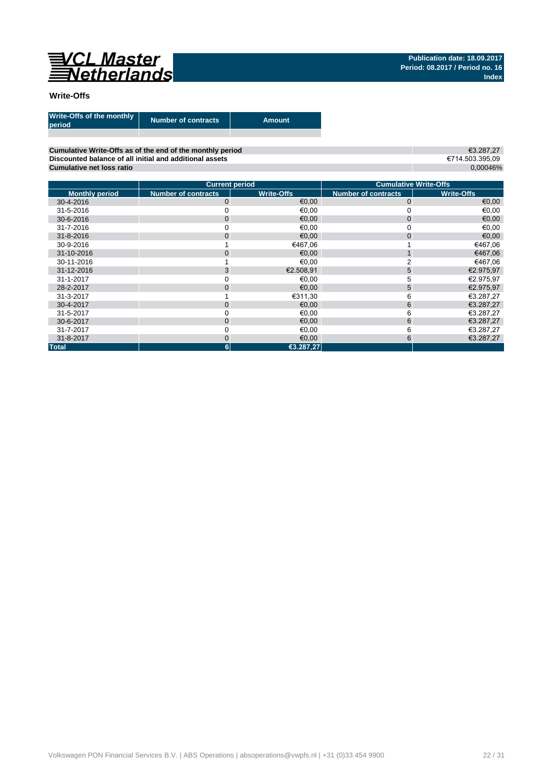

### **Write-Offs**

| Write-Offs of the monthly<br>period | <b>Number of contracts</b> | Amount |
|-------------------------------------|----------------------------|--------|
|                                     |                            |        |

**Cumulative Write-Offs as of the end of the monthly period Discounted balance of all initial and additional assets Cumulative net loss ratio**

€3.287,27 €714.503.395,09 0,00046%

|                       | <b>Current period</b>      |                   |                            | <b>Cumulative Write-Offs</b> |
|-----------------------|----------------------------|-------------------|----------------------------|------------------------------|
| <b>Monthly period</b> | <b>Number of contracts</b> | <b>Write-Offs</b> | <b>Number of contracts</b> | <b>Write-Offs</b>            |
| 30-4-2016             | $\mathbf{0}$               | €0,00             | $\mathbf{0}$               | €0,00                        |
| 31-5-2016             |                            | €0,00             |                            | €0,00                        |
| 30-6-2016             | $\mathbf{0}$               | €0,00             | $\overline{0}$             | €0,00                        |
| 31-7-2016             |                            | €0,00             |                            | €0,00                        |
| 31-8-2016             | $\mathbf{0}$               | €0.00             | 0                          | €0,00                        |
| 30-9-2016             |                            | €467,06           |                            | €467,06                      |
| 31-10-2016            | $\overline{0}$             | €0,00             |                            | €467,06                      |
| 30-11-2016            |                            | €0,00             |                            | €467,06                      |
| 31-12-2016            | 3                          | €2.508.91         | 5                          | €2.975,97                    |
| 31-1-2017             |                            | €0.00             | 5                          | €2.975,97                    |
| 28-2-2017             | $\overline{0}$             | €0,00             | 5                          | €2.975,97                    |
| 31-3-2017             |                            | €311,30           | 6                          | €3.287,27                    |
| 30-4-2017             | $\mathbf 0$                | €0,00             | 6                          | €3.287,27                    |
| 31-5-2017             |                            | €0.00             | 6                          | €3.287,27                    |
| 30-6-2017             | $\mathbf{0}$               | €0,00             | 6                          | €3.287,27                    |
| 31-7-2017             |                            | €0,00             | 6                          | €3.287,27                    |
| 31-8-2017             | $\overline{0}$             | €0,00             | 6                          | €3.287,27                    |
| <b>Total</b>          | 6                          | €3.287,27         |                            |                              |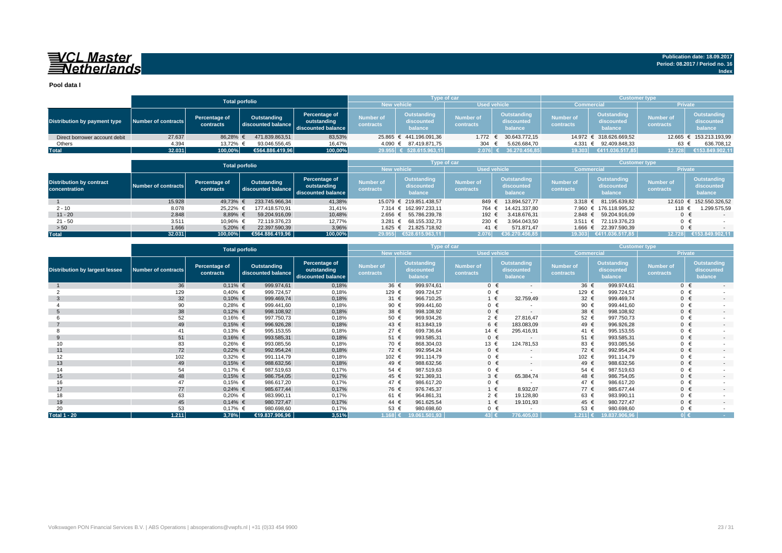## VCL Master<br>ENetherlands

**Pool data I**

|                               |                       |                            |                                   |                                                    |                               | <b>Type of car</b>                   |                        |                                      | <b>Customer type</b>          |                                             |                               |                                             |
|-------------------------------|-----------------------|----------------------------|-----------------------------------|----------------------------------------------------|-------------------------------|--------------------------------------|------------------------|--------------------------------------|-------------------------------|---------------------------------------------|-------------------------------|---------------------------------------------|
|                               | <b>Total porfolio</b> |                            |                                   |                                                    | <b>New vehicle</b>            |                                      | <b>Used vehicle</b>    |                                      | <b>Commercial</b>             |                                             | <b>Private</b>                |                                             |
| Distribution by payment type  | Number of contracts   | Percentage of<br>contracts | Outstanding<br>discounted balance | Percentage of<br>outstanding<br>discounted balance | <b>Number of</b><br>contracts | Outstanding<br>discounted<br>balance | Number of<br>contracts | Outstanding<br>discounted<br>balance | <b>Number of</b><br>contracts | <b>Outstanding</b><br>discounted<br>balance | <b>Number of</b><br>contracts | <b>Outstanding</b><br>discounted<br>balance |
| Direct borrower account debit | 27.637                | 86.28% €                   | 471.839.863.51                    | 83,53%                                             |                               | 25.865 € 441.196.091.36              | $1.772 \in$            | 30.643.772.15                        |                               | 14.972 € 318.626.669,52                     |                               | 12.665 € 153.213.193,99                     |
| Others                        | 4.394                 | 13.72% €                   | 93.046.556.45                     | 16,47%                                             |                               | 4.090 € 87.419.871,75                | 304                    | 5.626.684,70                         | 4.331 €                       | 92.409.848.33                               | 63                            | 636.708,12                                  |
| <b>Total</b>                  | 32.031                | 100,00%                    | €564.886.419.96                   | 100,00%                                            |                               | 29.955 € 528.615.963,11              | $2.076$ €              | 36.270.456,85                        | 19.303                        | €411.036.517.85                             | 12.728                        | €153.849.902,11                             |

|                                                  |                     |                            | <b>Total porfolio</b>             |                                                    |                               | <b>Type of car</b>                   |                               |                                      | <b>Customer type</b>          |                                      |                               |                                      |  |
|--------------------------------------------------|---------------------|----------------------------|-----------------------------------|----------------------------------------------------|-------------------------------|--------------------------------------|-------------------------------|--------------------------------------|-------------------------------|--------------------------------------|-------------------------------|--------------------------------------|--|
|                                                  |                     |                            |                                   |                                                    |                               | <b>New vehicle</b>                   | <b>Used vehicle</b>           |                                      |                               | <b>Commercial</b>                    | <b>Private</b>                |                                      |  |
| <b>Distribution by contract</b><br>concentration | Number of contracts | Percentage of<br>contracts | Outstanding<br>discounted balance | Percentage of<br>outstanding<br>discounted balance | <b>Number of</b><br>contracts | Outstanding<br>discounted<br>balance | <b>Number of</b><br>contracts | Outstanding<br>discounted<br>balance | <b>Number of</b><br>contracts | Outstanding<br>discounted<br>balance | <b>Number of</b><br>contracts | Outstanding<br>discounted<br>balance |  |
|                                                  | 15.928              | 49,73%                     | 233.745.966.34                    | 41,38%                                             |                               | 15.079 € 219.851.438,57              | 849 €                         | 13.894.527.77                        | 3.318 $\epsilon$              | 81.195.639.82                        | 12.610                        | 152.550.326,52                       |  |
| $2 - 10$                                         | 8.078               | 25,22%                     | 177.418.570.91                    | 31,41%                                             |                               | 7.314 € 162.997.233.11               | 764 €                         | 14.421.337.80                        |                               | 7.960 € 176.118.995.32               | 118                           | 1.299.575.59                         |  |
| $11 - 20$                                        | 2.848               | 8,89% €                    | 59.204.916.09                     | 10,48%                                             |                               | 2.656 € 55.786.239.78                | 192 €                         | 3.418.676.31                         |                               | 2.848 € 59.204.916.09                | $0 \in$                       | $\sim$                               |  |
| $21 - 50$                                        | 3.511               | 10.96% €                   | 72.119.376.23                     | 12,77%                                             |                               | 3.281 € 68.155.332.73                | 230 €                         | 3.964.043,50                         | $3.511 \in$                   | 72.119.376.23                        | $0 \in$                       |                                      |  |
| > 50                                             | 1.666               | 5,20% €                    | 22.397.590,39                     | 3,96%                                              |                               | 1.625 € 21.825.718,92                | 41 €                          | 571.871.47                           |                               | 1.666 € 22.397.590,39                | $0 \in$                       |                                      |  |
| <b>Total</b>                                     | 32.031              | $100.00\%$                 | €564.886.419.96                   | 100,00%                                            | 29.955                        | €528.615.963.11                      | 2.076                         | 636.270.456.85                       | 19.303                        | €411.036.517.85                      | 12.728                        | €153.849.902.11                      |  |

|                                       |                            | <b>Total porfolio</b>      |                                   |                                                    |                               | Type of car                          |                               |                                      | <b>Customer type</b>          |                                             |                               |                                             |  |
|---------------------------------------|----------------------------|----------------------------|-----------------------------------|----------------------------------------------------|-------------------------------|--------------------------------------|-------------------------------|--------------------------------------|-------------------------------|---------------------------------------------|-------------------------------|---------------------------------------------|--|
|                                       |                            |                            |                                   |                                                    | <b>New vehicle</b>            |                                      |                               | <b>Used vehicle</b>                  | <b>Commercial</b>             |                                             | Private                       |                                             |  |
| <b>Distribution by largest lessee</b> | <b>Number of contracts</b> | Percentage of<br>contracts | Outstanding<br>discounted balance | Percentage of<br>outstanding<br>discounted balance | <b>Number of</b><br>contracts | Outstanding<br>discounted<br>balance | <b>Number of</b><br>contracts | Outstanding<br>discounted<br>balance | <b>Number of</b><br>contracts | <b>Outstanding</b><br>discounted<br>balance | <b>Number of</b><br>contracts | <b>Outstanding</b><br>discounted<br>balance |  |
|                                       | 36                         | $0,11%$ €                  | 999.974,61                        | 0,18%                                              | 36 €                          | 999.974,61                           |                               | $0 \in$<br>$\sim$                    | 36 €                          | 999.974,61                                  | $0 \in$                       | $\sim$                                      |  |
|                                       | 129                        | $0,40%$ €                  | 999.724,57                        | 0,18%                                              | 129 €                         | 999.724,57                           |                               | $0 \in$                              | 129 €                         | 999.724,57                                  | $0 \in$                       |                                             |  |
| -3                                    | 32                         | $0,10%$ €                  | 999.469,74                        | 0,18%                                              | $31 \text{ } \in$             | 966.710,25                           |                               | $1 \in$<br>32.759,49                 | 32 $\epsilon$                 | 999.469,74                                  |                               | $0 \in$<br>$\sim$                           |  |
|                                       | 90                         | $0,28%$ €                  | 999.441,60                        | 0,18%                                              | 90 €                          | 999.441,60                           |                               | $0 \in$                              | 90 €                          | 999.441,60                                  |                               | $0 \in$                                     |  |
|                                       | 38                         | $0,12%$ €                  | 998.108,92                        | 0,18%                                              | 38 €                          | 998.108,92                           |                               | $0 \in$<br>$\overline{a}$            | 38 €                          | 998.108,92                                  | $0 \in$                       | $\sim$                                      |  |
|                                       | 52                         | $0,16%$ €                  | 997.750,73                        | 0,18%                                              | 50 €                          | 969.934,26                           |                               | $2 \in$<br>27.816,47                 | 52 €                          | 997.750,73                                  | $0 \in$                       |                                             |  |
|                                       | 49                         | $0,15%$ €                  | 996.926,28                        | 0,18%                                              | 43 €                          | 813.843,19                           |                               | 6 €<br>183.083,09                    | 49 €                          | 996.926,28                                  | $0 \in$                       | $\sim$                                      |  |
|                                       | 41                         | $0,13%$ €                  | 995.153,55                        | 0,18%                                              | 27 €                          | 699.736,64                           | 14 €                          | 295.416,91                           | 41 €                          | 995.153,55                                  | $0 \in$                       |                                             |  |
| 9                                     | 51                         | $0,16%$ €                  | 993.585,31                        | 0,18%                                              | 51 €                          | 993.585,31                           |                               | $0 \in$<br>$\overline{a}$            | 51 €                          | 993.585,31                                  | $0 \in$                       | $\sim$                                      |  |
| 10                                    | 83                         | $0,26%$ €                  | 993.085,56                        | 0,18%                                              | 70 €                          | 868.304,03                           | 13 €                          | 124.781,53                           | 83 €                          | 993.085,56                                  |                               | $0 \in$                                     |  |
| 11                                    | 72                         | $0,22%$ €                  | 992.954,24                        | 0,18%                                              | 72 €                          | 992.954,24                           |                               | $0 \in$<br>$\overline{a}$            | 72 €                          | 992.954.24                                  | $0 \in$                       | $\sim$                                      |  |
| 12                                    | 102                        | $0,32%$ €                  | 991.114,79                        | 0,18%                                              | 102 €                         | 991.114,79                           |                               | $0 \in$                              | 102 €                         | 991.114.79                                  | $0 \in$                       |                                             |  |
| 13                                    | 49                         | $0,15%$ €                  | 988.632,56                        | 0,18%                                              | 49 €                          | 988.632,56                           |                               | $0 \in$<br>$\overline{a}$            | 49 €                          | 988.632,56                                  | $0 \in$                       | $\sim$                                      |  |
| 14                                    | 54                         | $0,17%$ €                  | 987.519,63                        | 0,17%                                              | 54 €                          | 987.519,63                           |                               | $0 \in$                              | 54 €                          | 987.519,63                                  |                               | $0 \in$                                     |  |
| 15                                    | 48                         | $0,15%$ €                  | 986.754,05                        | 0,17%                                              | 45 €                          | 921.369,31                           |                               | $3 \in$<br>65.384,74                 | 48 €                          | 986.754,05                                  | $0 \in$                       | $\sim$                                      |  |
| 16                                    | 47                         | $0,15%$ €                  | 986.617,20                        | 0,17%                                              | 47 €                          | 986.617,20                           |                               | $0 \in$                              | 47 €                          | 986.617,20                                  | $0 \in$                       |                                             |  |
| 17                                    | 77                         | $0,24%$ €                  | 985.677,44                        | 0,17%                                              | 76 €                          | 976.745,37                           |                               | $1 \in$<br>8.932,07                  | 77 €                          | 985.677,44                                  | $0 \in$                       | $\sim$                                      |  |
| 18                                    | 63                         | $0,20%$ €                  | 983.990,11                        | 0,17%                                              | 61 €                          | 964.861,31                           |                               | $2 \in$<br>19.128,80                 | 63 €                          | 983.990,11                                  |                               | $0 \in$                                     |  |
| 19                                    | 45                         | $0,14%$ €                  | 980.727,47                        | 0,17%                                              | 44 €                          | 961.625,54                           |                               | $1 \in$<br>19.101,93                 | 45 €                          | 980.727,47                                  | $0 \in$                       | $\sim$                                      |  |
| 20                                    | 53                         | $0,17%$ €                  | 980.698,60                        | 0,17%                                              | 53 €                          | 980.698,60                           |                               | $0 \in$                              | 53 €                          | 980.698,60                                  | $0 \in$                       |                                             |  |
| <b>Total 1 - 20</b>                   | 1.211                      | 3,78%                      | €19.837.906,96                    | 3,51%                                              | 1.168 €                       | 19.061.501,93                        | 43 €                          | 776.405,03                           | 1.211 €                       | 19.837.906,96                               | $0 \in$                       | <b>Contract</b>                             |  |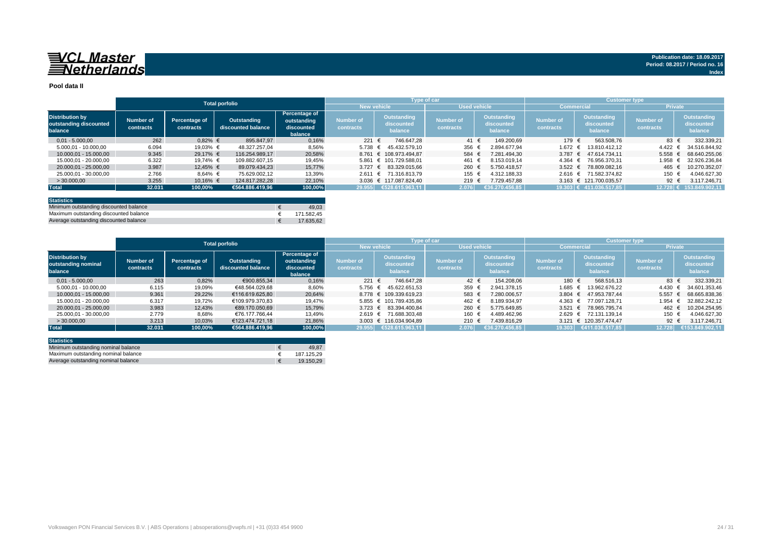## 

#### **Pool data II**

|                                                             |                        |                            | <b>Total porfolio</b>             |                                                       |                               |                                      | <b>Type of car</b>            |                                      | <b>Customer type</b>   |                                      |                                      |                                             |  |  |
|-------------------------------------------------------------|------------------------|----------------------------|-----------------------------------|-------------------------------------------------------|-------------------------------|--------------------------------------|-------------------------------|--------------------------------------|------------------------|--------------------------------------|--------------------------------------|---------------------------------------------|--|--|
|                                                             |                        |                            |                                   |                                                       | <b>New vehicle</b>            |                                      | <b>Used vehicle</b>           |                                      | <b>Commercial</b>      |                                      | <b>Private</b>                       |                                             |  |  |
| <b>Distribution by</b><br>outstanding discounted<br>balance | Number of<br>contracts | Percentage of<br>contracts | Outstanding<br>discounted balance | Percentage of<br>outstanding<br>discounted<br>balance | <b>Number of</b><br>contracts | Outstanding<br>discounted<br>balance | <b>Number of</b><br>contracts | Outstanding<br>discounted<br>balance | Number of<br>contracts | Outstanding<br>discounted<br>balance | <b>Number of</b><br><b>contracts</b> | <b>Outstanding</b><br>discounted<br>balance |  |  |
| $0.01 - 5.000.00$                                           | 262                    | $0.82%$ €                  | 895.847.97                        | 0,16%                                                 | 221 €                         | 746.647.28                           | 41 €                          | 149.200.69                           | 179 €                  | 563.508.76                           | 83 $\epsilon$                        | 332.339,21                                  |  |  |
| 5.000,01 - 10.000,00                                        | 6.094                  | 19,03% €                   | 48.327.257.04                     | 8,56%                                                 | $5.738 \in$                   | 45.432.579.10                        | 356 $\epsilon$                | 2.894.677.94                         | 1.672 €                | 13.810.412.12                        | 4.422                                | 34.516.844.92                               |  |  |
| 10.000.01 - 15.000.00                                       | 9.345                  | 29.17% €                   | 116.254.989.17                    | 20,58%                                                |                               | 8.761 € 108.973.494.87               | 584                           | 7.281.494.30                         | 3.787 $\epsilon$       | 47.614.734.11                        | 5.558                                | 68.640.255.06                               |  |  |
| 15.000.01 - 20.000.00                                       | 6.322                  | 19.74% €                   | 109.882.607.15                    | 19,45%                                                |                               | 5.861 € 101.729.588.01               | 461                           | 8.153.019.14                         | $4.364 \text{ } \in$   | 76.956.370.31                        | 1.958                                | 32.926.236,84                               |  |  |
| 20.000.01 - 25.000.00                                       | 3.987                  | 12.45% €                   | 89.079.434.23                     | 15,77%                                                |                               | 3.727 € 83.329.015.66                | 260                           | 5.750.418.57                         | 3.522 $\epsilon$       | 78.809.082.16                        | 465                                  | 10.270.352.07                               |  |  |
| 25.000.01 - 30.000.00                                       | 2.766                  | $8,64%$ €                  | 75.629.002.12                     | 13,39%                                                | $2.611 \in$                   | 71.316.813.79                        | 155                           | 4.312.188.33                         |                        | 2.616 € 71.582.374.82                | 150 €                                | 4.046.627.30                                |  |  |
| >30.000,00                                                  | 3.255                  | 10,16% €                   | 124.817.282.28                    | 22,10%                                                |                               | 3.036 € 117.087.824.40               | 219 $\in$                     | 7.729.457.88                         |                        | 3.163 € 121.700.035.57               | 92 €                                 | 3.117.246.71                                |  |  |
| <b>Total</b>                                                | 32.031                 | 100,00%                    | €564.886.419.96                   | 100,00%                                               |                               | 29.955 €528.615.963,11               | 2.076                         | €36.270.456.85                       |                        | 19.303 € 411.036.517,85              |                                      | 12.728 € 153.849.902,11                     |  |  |
|                                                             |                        |                            |                                   |                                                       |                               |                                      |                               |                                      |                        |                                      |                                      |                                             |  |  |

| <b>Statistics</b>                      |            |
|----------------------------------------|------------|
| Minimum outstanding discounted balance | 49.03      |
| Maximum outstanding discounted balance | 171.582.45 |
| Average outstanding discounted balance | 17.635.62  |

|                                                          |                               |                            | <b>Total porfolio</b>             |                                                              |                        | <b>Type of car</b>                   |                                      |                                      | <b>Customer type</b>                 |                                      |                               |                                      |  |
|----------------------------------------------------------|-------------------------------|----------------------------|-----------------------------------|--------------------------------------------------------------|------------------------|--------------------------------------|--------------------------------------|--------------------------------------|--------------------------------------|--------------------------------------|-------------------------------|--------------------------------------|--|
|                                                          |                               |                            |                                   |                                                              |                        | <b>New vehicle</b>                   | <b>Used vehicle</b>                  |                                      | <b>Commercial</b>                    |                                      | <b>Private</b>                |                                      |  |
| <b>Distribution by</b><br>outstanding nominal<br>balance | <b>Number of</b><br>contracts | Percentage of<br>contracts | Outstanding<br>discounted balance | <b>Percentage of</b><br>outstanding<br>discounted<br>balance | Number of<br>contracts | Outstanding<br>discounted<br>balance | <b>Number of</b><br><b>contracts</b> | Outstanding<br>discounted<br>balance | <b>Number of</b><br><b>contracts</b> | Outstanding<br>discounted<br>balance | <b>Number of</b><br>contracts | Outstanding<br>discounted<br>balance |  |
| $0.01 - 5.000.00$                                        | 263                           | 0.82%                      | €900.855.34                       | 0,16%                                                        | 221 €                  | 746.647.28                           | $42 \epsilon$                        | 154.208.06                           | 180 €                                | 568.516.13                           | 83 €                          | 332.339.21                           |  |
| 5.000,01 - 10.000,00                                     | 6.115                         | 19,09%                     | €48.564.029.68                    | 8,60%                                                        | $5.756 \in$            | 45.622.651.53                        | 359                                  | 2.941.378.15                         | 1.685 €                              | 13.962.676.22                        | 4.430                         | 34.601.353.46                        |  |
| 10.000.01 - 15.000.00                                    | 9.361                         | 29,22%                     | €116.619.625.80                   | 20,64%                                                       |                        | 8.778 € 109.339.619.23               | 583                                  | 7.280.006.57                         | 3.804 $\in$                          | 47.953.787.44                        | 5.557                         | 68.665.838,36                        |  |
| 15.000.01 - 20.000.00                                    | 6.317                         | 19.72%                     | €109.979.370.83                   | 19.47%                                                       |                        | 5.855 € 101.789.435.86               | 462                                  | 8.189.934.97                         | $4.363 \in$                          | 77.097.128.71                        | 1.954 €                       | 32.882.242.12                        |  |
| 20.000.01 - 25.000.00                                    | 3.983                         | 12.43%                     | €89.170.050.69                    | 15.79%                                                       |                        | 3.723 € 83.394.400.84                | 260                                  | 5.775.649.85                         | 3.521 $\epsilon$                     | 78.965.795.74                        | 462                           | 10.204.254.95                        |  |
| 25.000.01 - 30.000.00                                    | 2.779                         | 8,68%                      | €76.177.766.44                    | 13,49%                                                       | $2.619$ €              | 71.688.303.48                        | 160                                  | 4.489.462.96                         | $2.629$ €                            | 72.131.139.14                        | 150                           | 4.046.627.30                         |  |
| > 30.000.00                                              | 3.213                         | 10.03%                     | €123.474.721.18                   | 21,86%                                                       |                        | 3.003 € 116.034.904.89               | 210                                  | 7.439.816.29                         |                                      | 3.121 € 120.357.474.47               | 92 $\epsilon$                 | 3.117.246.71                         |  |
| <b>Total</b>                                             | 32.031                        | 100.00%                    | €564.886.419.96                   | 100.00%                                                      | 29.955                 | €528.615.963,11                      | 2.076                                | 656.270.456,85                       | 19.303                               | €411.036.517.85                      | 12.728                        | €153.849.902,11                      |  |

| <b>Statistics</b>                   |            |
|-------------------------------------|------------|
| Minimum outstanding nominal balance | 49.87      |
| Maximum outstanding nominal balance | 187.125.29 |
| Average outstanding nominal balance | 19.150.29  |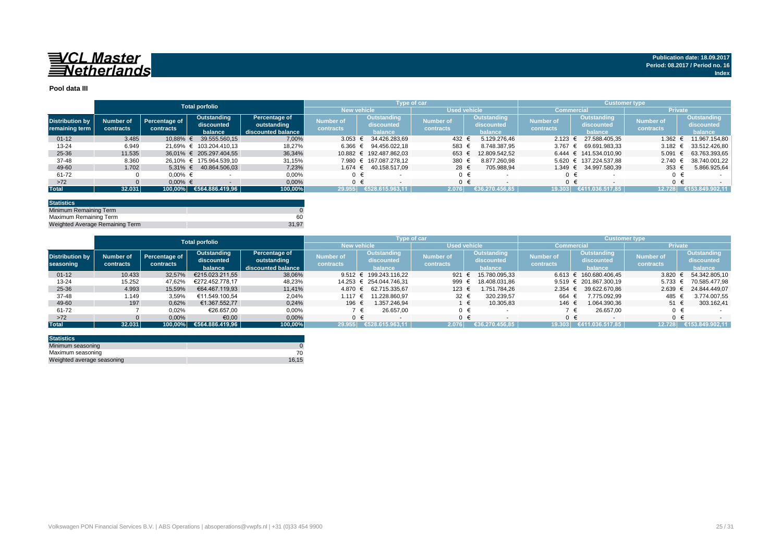

#### **Pool data III**

|                        |           |               | <b>Total porfolio</b>   |                    |                    |         | Type of car             |                     |  |                | <b>Customer type</b> |         |                            |                |            |                    |
|------------------------|-----------|---------------|-------------------------|--------------------|--------------------|---------|-------------------------|---------------------|--|----------------|----------------------|---------|----------------------------|----------------|------------|--------------------|
|                        |           |               |                         |                    | <b>New vehicle</b> |         |                         | <b>Used vehicle</b> |  |                | Commercial           |         |                            | <b>Private</b> |            |                    |
| <b>Distribution by</b> | Number of | Percentage of | Outstanding             | Percentage of      | <b>Number of</b>   |         | Outstanding             | <b>Number of</b>    |  | Outstanding    | <b>Number of</b>     |         | Outstanding                | Number of      |            | <b>Outstanding</b> |
| remaining term         |           | contracts     | discounted              | outstanding        | contracts          |         | discounted              | contracts           |  | discounted     | contracts            |         | discounted                 | contracts      |            | discounted         |
|                        | contracts |               | balance                 | discounted balance |                    |         | balance                 |                     |  | balance        |                      |         | balance                    |                |            | balance            |
| $01 - 12$              | 3.485     | 10.88% €      | 39.555.560.15           | 7.00%              | 3.053              |         | 34.426.283.69           | 432 €               |  | 5.129.276.46   | $2.123 \in$          |         | 27.588.405.35              | 1.362 $∈$      |            | 11.967.154.80      |
| 13-24                  | 6.949     |               | 21.69% € 103.204.410.13 | 18,27%             | 6.366              | €       | 94.456.022.18           | 583                 |  | 8.748.387.95   | 3.767 $∈$            |         | 69.691.983.33              | 3.182 $\in$    |            | 33.512.426.80      |
| 25-36                  | 11.535    |               | 36.01% € 205.297.404.55 | 36,34%             |                    |         | 10.882 € 192.487.862.03 | 653 €               |  | 12.809.542.52  |                      |         | $6.444 \in 141.534.010.90$ | 5.091          | $\epsilon$ | 63.763.393.65      |
| 37-48                  | 8.360     |               | 26.10% € 175.964.539.10 | 31,15%             | 7.980              |         | € 167.087.278.12        | 380                 |  | 8.877.260.98   |                      |         | 5.620 € 137.224.537,88     | $2.740 \in$    |            | 38.740.001.22      |
| 49-60                  | 1.702     | 5.31% €       | 40.864.506.03           | 7.23%              | $1.674 \in$        |         | 40.158.517.09           | 28 €                |  | 705.988.94     |                      |         | 1.349 € 34.997.580.39      | 353 $\epsilon$ |            | 5.866.925,64       |
| 61-72                  |           | $0.00\%$ €    |                         | 0,00%              |                    |         |                         | $0 \in$             |  |                |                      |         |                            |                |            |                    |
| $>72$                  |           | $0.00\%$ €    |                         | 0,00%              |                    | $0 \in$ |                         | $0 \in$             |  |                |                      | $0 \in$ |                            |                | $0 \in$    |                    |
| <b>Total</b>           | 32.031    | 100,00%       | €564.886.419,96         | 100,00%            | 29.955             |         | €528.615.963,11         | 2.076               |  | €36.270.456,85 | 19.303               |         | €411.036.517.85            | 12.728         |            | €153.849.902,11    |

| <b>Statistics</b>               |       |
|---------------------------------|-------|
| Minimum Remaining Term          |       |
| Maximum Remaining Term          | 60    |
| Weighted Average Remaining Term | 31.97 |

|                        |           |                      | <b>Total porfolio</b> |                    |                    |                            | Type of car         |                         | / Customer type , |                                     |                  |                 |  |
|------------------------|-----------|----------------------|-----------------------|--------------------|--------------------|----------------------------|---------------------|-------------------------|-------------------|-------------------------------------|------------------|-----------------|--|
|                        |           |                      |                       |                    | <b>New vehicle</b> |                            | <b>Used vehicle</b> |                         |                   | <b>Commercial</b>                   | <b>Private</b>   |                 |  |
|                        |           |                      | Outstanding           | Percentage of      |                    | Outstanding                |                     | Outstanding             |                   | Outstanding                         |                  | Outstanding     |  |
| <b>Distribution by</b> | Number of | <b>Percentage of</b> | discounted            | outstanding        | <b>Number of</b>   | discounted                 | <b>Number of</b>    | discounted              | <b>Number of</b>  | discounted                          | <b>Number of</b> | discounted      |  |
| seasoning              | contracts | contracts            | balance               | discounted balance | contracts          | balance                    | contracts           | balance                 | contracts         | balance                             | contracts        | balance         |  |
| $01 - 12$              | 10.433    | 32,57%               | €215.023.211.55       | 38,06%             |                    | 9.512 $\in$ 199.243.116,22 | 921 €               | 15.780.095.33           |                   | $6.613 \text{ } \in 160.680.406.45$ | 3.820            | 54.342.805.10   |  |
| $13 - 24$              | 15.252    | 47.62%               | €272.452.778.17       | 48,23%             | 14.253             | € 254.044.746.31           | 999                 | 18.408.031.86           |                   | 9.519 $\in$ 201.867.300.19          | 5.733            | 70.585.477.98   |  |
| 25-36                  | 4.993     | 15,59%               | €64.467.119.93        | 11,41%             | 4.870 €            | 62.715.335.67              | 123 €               | 1.751.784.26            | $2.354 \text{ }€$ | 39.622.670.86                       | 2.639            | 24.844.449,07   |  |
| 37-48                  | 1.149     | 3.59%                | €11.549.100.54        | 2,04%              | 1.117              | 11.228.860.97              | 32 $\epsilon$       | 320.239.57              | 664               | 7.775.092.99                        | 485              | 3.774.007.55    |  |
| 49-60                  | 197       | 0.62%                | €1.367.552.77         | 0,24%              | 196 €              | 1.357.246.94               |                     | 10.305.83<br>$\epsilon$ | 146 €             | 1.064.390.36                        | 51 €             | 303.162,41      |  |
| 61-72                  |           | 0,02%                | €26.657.00            | 0,00%              |                    | 26.657.00                  |                     |                         |                   | 26.657.00                           | $0 \in$          |                 |  |
| $>72$                  |           | 0,00%                | €0,00                 | 0,00%              |                    |                            |                     |                         |                   |                                     | 0 €              |                 |  |
| <b>Total</b>           | 32,031    | 100.00%              | €564.886.419,96       | 100,00%            | 29.955             | €528.615.963.11            | 2.076               | €36.270.456.85          | 19.303            | €411.036.517.85                     | 12.728           | €153.849.902.11 |  |

| <b>Statistics</b>          |       |
|----------------------------|-------|
| Minimum seasoning          |       |
| Maximum seasoning          |       |
| Weighted average seasoning | 16.15 |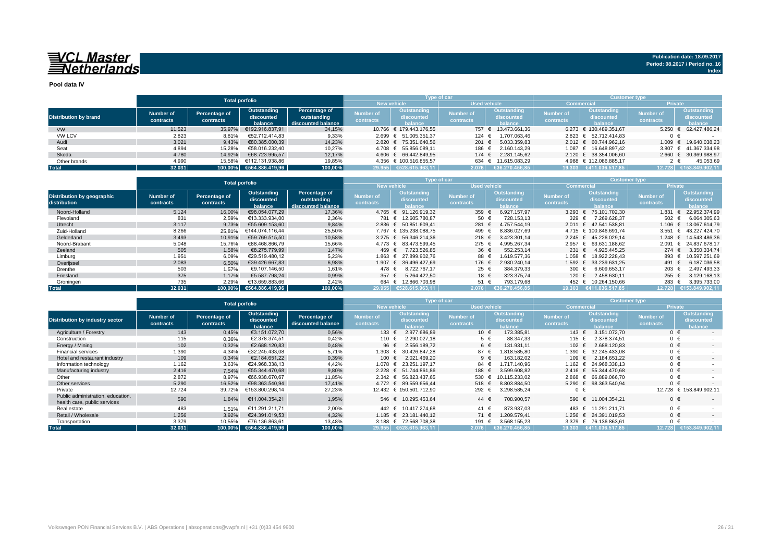## 

**Pool data IV**

|                              |           |               | <b>Total porfolio</b>   |                    |                          | Type of car             |                     |                     | <b>Customer type</b> |                                             |                  |                        |  |  |  |
|------------------------------|-----------|---------------|-------------------------|--------------------|--------------------------|-------------------------|---------------------|---------------------|----------------------|---------------------------------------------|------------------|------------------------|--|--|--|
|                              |           |               |                         |                    | <b>New vehicle</b>       |                         | <b>Used vehicle</b> |                     | <b>Commercial</b>    |                                             | <b>Private</b>   |                        |  |  |  |
|                              | Number of | Percentage of | Outstanding             | Percentage of      | Outstanding<br>Number of |                         | <b>Number of</b>    | Outstanding         | <b>Number of</b>     | Outstanding                                 | <b>Number of</b> | Outstanding            |  |  |  |
| <b>Distribution by brand</b> |           | contracts     | discounted              | outstanding        |                          | discounted              | <b>contracts</b>    | discounted          | contracts            | discounted                                  | contracts        | discounted             |  |  |  |
|                              | contracts |               | balance                 | discounted balance | <b>contracts</b>         | halance                 |                     | balance             |                      | halance                                     |                  | <b>balance</b>         |  |  |  |
| <b>VW</b>                    | 11.523    | 35.97%        | €192.916.837.91         | 34,15%             |                          | 10.766 € 179.443.176.55 |                     | 757 € 13.473.661.36 |                      | 6.273 € 130.489.351.67                      | 5.250            | 62.427.486.24          |  |  |  |
| <b>VW LCV</b>                | 2.823     | 8,81%         | €52.712.414.83          | 9,33%              |                          | 2.699 € 51.005.351.37   | 124 $\in$           | 1.707.063,46        |                      | 2.823 € 52.712.414.83                       |                  |                        |  |  |  |
| Audi                         | 3.021     | 9,43%         | €80.385.000.39          | 14,23%             |                          | 2.820 € 75.351.640.56   | 201 $\in$           | 5.033.359,83        |                      | $2.012 \text{ } \in 60.744.962.16$          | 1.009            | € 19.640.038.23        |  |  |  |
| Seat                         | 4.894     | 15.28%        | €58.016.232.40          | 10,27%             |                          | 4.708 € 55.856.089.11   | 186 €               | 2.160.143.29        |                      | 1.087 € 16.648.897.42                       | 3.807            | € 41.367.334,98        |  |  |  |
| Skoda                        | 4.780     | 14.92%        | €68.723.995.57          | 12,17%             |                          | 4.606 € 66.442.849.95   | 174 $∈$             | 2.281.145.62        |                      | $2.120 \text{ } \in \text{ } 38.354.006.60$ | 2.660            | € 30.369.988,97        |  |  |  |
| Other brands                 | 4.990     | 15.58%        | €112.131.938.86         | 19,85%             |                          | 4.356 € 100.516.855.57  |                     | 634 € 11.615.083.29 |                      | 4.988 € 112.086.885.17                      |                  | 45.053.69              |  |  |  |
| <b>Total</b>                 | 32.031    |               | 100,00% €564.886.419,96 | 100,00%            |                          | 29.955 €528.615.963,11  | 2.076               | 36.270.456.85       |                      | 19.303 €411.036.517.85                      |                  | 12.728 €153.849.902.11 |  |  |  |

|                                            |                        | <b>Total porfolio</b>      |                                      |                                                    |                               |                                      | Type of car                   |                                             |                               | <b>Customer type</b>                 |                        |                                             |  |  |
|--------------------------------------------|------------------------|----------------------------|--------------------------------------|----------------------------------------------------|-------------------------------|--------------------------------------|-------------------------------|---------------------------------------------|-------------------------------|--------------------------------------|------------------------|---------------------------------------------|--|--|
|                                            |                        |                            |                                      |                                                    |                               | <b>New vehicle</b>                   | <b>Used vehicle</b>           |                                             | Commercia                     |                                      | <b>Private</b>         |                                             |  |  |
| Distribution by geographic<br>distribution | Number of<br>contracts | Percentage of<br>contracts | Outstanding<br>discounted<br>balance | Percentage of<br>outstanding<br>discounted balance | <b>Number of</b><br>contracts | Outstanding<br>discounted<br>balance | <b>Number of</b><br>contracts | <b>Outstanding</b><br>discounted<br>balance | <b>Number of</b><br>contracts | Outstanding<br>discounted<br>balance | Number of<br>contracts | <b>Outstanding</b><br>discounted<br>balance |  |  |
| Noord-Holland                              | 5.124                  | 16,00%                     | €98.054.077.29                       | 17,36%                                             |                               | 4.765 € 91.126.919,32                | 359                           | 6.927.157.97                                | $3.293$ €                     | 75.101.702.30                        | 1.831                  | 22.952.374,99<br>€                          |  |  |
| Flevoland                                  | 831                    | 2,59%                      | €13.333.934.00                       | 2,36%                                              |                               | 781 € 12.605.780.87                  | 50 €                          | 728.153.13                                  | 329 $\epsilon$                | 7.269.628.37                         | 502 $\epsilon$         | 6.064.305,63                                |  |  |
| Utrecht                                    | 3.117                  | 9,73%                      | €55,609,153,60                       | 9,84%                                              |                               | 2.836 € 50.851.609.41                | 281 €                         | 4.757.544.19                                |                               | 2.011 € 42.541.538.81                | 1.106                  | € 13.067.614.79                             |  |  |
| Zuid-Holland                               | 8.266                  | 25,81%                     | €144.074.116.44                      | 25,50%                                             |                               | 7.767 € 135.238.088.75               | 499 €                         | 8.836.027.69                                |                               | 4.715 € 100.846.691.74               | 3.551                  | € 43.227.424.70                             |  |  |
| Gelderland                                 | 3.493                  | 10.91%                     | €59.769.515.50                       | 10,58%                                             |                               | 3.275 € 56.346.214.36                | 218 $\epsilon$                | 3.423.301.14                                |                               | 2.245 € 45.226.029.14                | 1.248                  | € 14.543.486.36                             |  |  |
| Noord-Brabant                              | 5.048                  | 15,76%                     | €88.468.866.79                       | 15,66%                                             |                               | 4.773 € 83.473.599.45                | 275 €                         | 4.995.267.34                                |                               | 2.957 € 63.631.188.62                | 2.091                  | € 24.837.678.17                             |  |  |
| Zeeland                                    | 505                    | 1.58%                      | €8,275,779.99                        | 1,47%                                              | 469 €                         | 7.723.526.85                         | 36 €                          | 552.253.14                                  | 231 $\epsilon$                | 4.925.445.25                         | $274 \t∈$              | 3.350.334.74                                |  |  |
| Limburg                                    | 1.951                  | 6,09%                      | €29.519.480.12                       | 5,23%                                              |                               | 1.863 € 27.899.902.76                | 88 €                          | 1.619.577.36                                | 1.058                         | 18.922.228.43<br>$\epsilon$          | 893 €                  | 10.597.251.69                               |  |  |
| Overijssel                                 | 2.083                  | 6,50%                      | €39,426,667,83                       | 6,98%                                              |                               | 1.907 € 36.496.427.69                | 176 €                         | 2.930.240.14                                | 1.592 €                       | 33.239.631.25                        | 491 €                  | 6.187.036,58                                |  |  |
| Drenthe                                    | 503                    | 1.57%                      | €9.107.146.50                        | 1,61%                                              | 478 €                         | 8.722.767.17                         | 25 €                          | 384.379.33                                  | 300 $\epsilon$                | 6.609.653.17                         | 203 €                  | 2.497.493,33                                |  |  |
| Friesland                                  | 375                    | 1.17%                      | €5.587.798.24                        | 0,99%                                              | 357 $\epsilon$                | 5.264.422.50                         | 18 €                          | 323.375.74                                  | 120                           | 2.458.630.11                         | 255                    | 3.129.168,13                                |  |  |
| Groningen                                  | 735                    | 2,29%                      | €13.659.883,66                       | 2,42%                                              | 684 €                         | 12.866.703,98                        | 51 €                          | 793.179.68                                  | 452 €                         | 10.264.150.66                        | 283 $\epsilon$         | 3.395.733,00                                |  |  |
| <b>Total</b>                               | 32.031                 |                            | 100.00% €564.886.419.96              | 100,00%                                            | 29.955                        | €528.615.963.11                      | 2.076                         | €36.270.456.85                              |                               | 19.303 €411.036.517.85               |                        | 12.728 €153.849.902.11                      |  |  |

|                                                                   |                               | <b>Total porfolio</b>      |                                      |                                     |                                      |                                             | Type of car                   |                                             | <b>Customer type</b>          |                                             |                        |                                             |  |  |
|-------------------------------------------------------------------|-------------------------------|----------------------------|--------------------------------------|-------------------------------------|--------------------------------------|---------------------------------------------|-------------------------------|---------------------------------------------|-------------------------------|---------------------------------------------|------------------------|---------------------------------------------|--|--|
|                                                                   |                               |                            |                                      |                                     |                                      | <b>New vehicle</b>                          | <b>Used vehicle</b>           |                                             | <b>Commercia</b>              |                                             | <b>Private</b>         |                                             |  |  |
| <b>Distribution by industry sector</b>                            | <b>Number of</b><br>contracts | Percentage of<br>contracts | Outstanding<br>discounted<br>balance | Percentage of<br>discounted balance | <b>Number of</b><br><b>contracts</b> | <b>Outstanding</b><br>discounted<br>balance | <b>Number of</b><br>contracts | <b>Outstanding</b><br>discounted<br>balance | <b>Number of</b><br>contracts | <b>Outstanding</b><br>discounted<br>balance | Number of<br>contracts | <b>Outstanding</b><br>discounted<br>balance |  |  |
| Agriculture / Forestry                                            | 143                           | 0,45%                      | €3.151.072.70                        | 0,56%                               | 133 $\epsilon$                       | 2.977.686.89                                | 10 €                          | 173.385,81                                  | $143 \epsilon$                | 3.151.072.70                                | $0 \in$                |                                             |  |  |
| Construction                                                      | 115                           | 0,36%                      | €2.378.374.51                        | 0,42%                               | 110 €                                | 2.290.027,18                                | $5 \in$                       | 88.347,33                                   | 115 €                         | 2.378.374.51                                | $0 \in$                |                                             |  |  |
| Energy / Mining                                                   | 102                           | 0,32%                      | €2.688.120.83                        | 0,48%                               | 96 €                                 | 2.556.189.72                                | 6 €                           | 131.931.11                                  | 102 €                         | 2.688.120.83                                | $0 \in$                |                                             |  |  |
| <b>Financial services</b>                                         | 1.390                         | 4,34%                      | €32.245.433.08                       | 5,71%                               | 1.303 €                              | 30.426.847.28                               | 87 €                          | 1.818.585.80                                | 1.390 €                       | 32.245.433.08                               | $0 \in$                |                                             |  |  |
| Hotel and restaurant industry                                     | 109                           | 0,34%                      | €2.184.651.22                        | 0,39%                               | 100 €                                | 2.021.469.20                                | $9 \in$                       | 163.182.02                                  | 109 €                         | 2.184.651.22                                | $0 \in$                | $\sim$                                      |  |  |
| Information technology                                            | 1.162                         | 3,63%                      | €24.968.338,13                       | 4,42%                               | 1.078 €                              | 23.251.197.17                               | 84 €                          | 1.717.140.96                                | 1.162 $∈$                     | 24.968.338.13                               | $0 \in$                |                                             |  |  |
| Manufacturing industry                                            | 2.416                         | 7,54%                      | €55.344.470.68                       | 9,80%                               |                                      | 2.228 € 51.744.861.86                       | 188 €                         | 3.599.608,82                                | $2.416 \t∈$                   | 55.344.470.68                               | $0 \in$                |                                             |  |  |
| Other                                                             | 2.872                         | 8.97%                      | €66.938.670.67                       | 11.85%                              | $2.342 \in$                          | 56.823.437.65                               | 530                           | 10.115.233.02                               | $2.868 \in$                   | 66.889.066.70                               | $0 \in$                |                                             |  |  |
| Other services                                                    | 5.290                         | 16,52%                     | €98.363.540.94                       | 17.41%                              | $4.772$ €                            | 89.559.656.44                               | 518 $\in$                     | 8.803.884.50                                | 5.290 $€$                     | 98.363.540.94                               | $0 \in$                |                                             |  |  |
| Private                                                           | 12.724                        | 39,72%                     | €153.800.298.14                      | 27,23%                              |                                      | 12.432 € 150.501.712.90                     | 292 €                         | 3.298.585,24                                | $0 \in$                       |                                             | 12.728                 | € 153.849.902.11                            |  |  |
| Public administration, education,<br>health care, public services | 590                           | 1,84%                      | €11.004.354.21                       | 1,95%                               |                                      | 546 € 10.295.453.64                         | 44 $\in$                      | 708.900,57                                  | 590 €                         | 11.004.354.21                               | $0 \in$                |                                             |  |  |
| Real estate                                                       | 483                           | 1,51%                      | €11.291.211.71                       | 2,00%                               | 442                                  | 10.417.274.68<br>$\epsilon$                 | 41 €                          | 873.937.03                                  | 483 €                         | 11.291.211.71                               | $0 \in$                |                                             |  |  |
| Retail / Wholesale                                                | 1.256                         | 3,92%                      | €24.391.019.53                       | 4,32%                               | 1.185 €                              | 23.181.440.12                               | 71 €                          | 1.209.579,41                                | 1.256 €                       | 24.391.019.53                               | $0 \in$                |                                             |  |  |
| Transportation                                                    | 3.379                         | 10,55%                     | €76.136.863,61                       | 13,48%                              |                                      | 3.188 € 72.568.708,38                       | 191                           | 3.568.155,23                                |                               | 3.379 € 76.136.863.61                       | $0 \in$                |                                             |  |  |
| <b>Total</b>                                                      | 32.031                        | 100,00%                    | €564.886.419,96                      | 100,00%                             |                                      | 29.955 €528.615.963.11                      | 2.076                         | €36.270.456.85                              |                               | $19.303$ €411.036.517,85                    | 12.728                 | €153.849.902.11                             |  |  |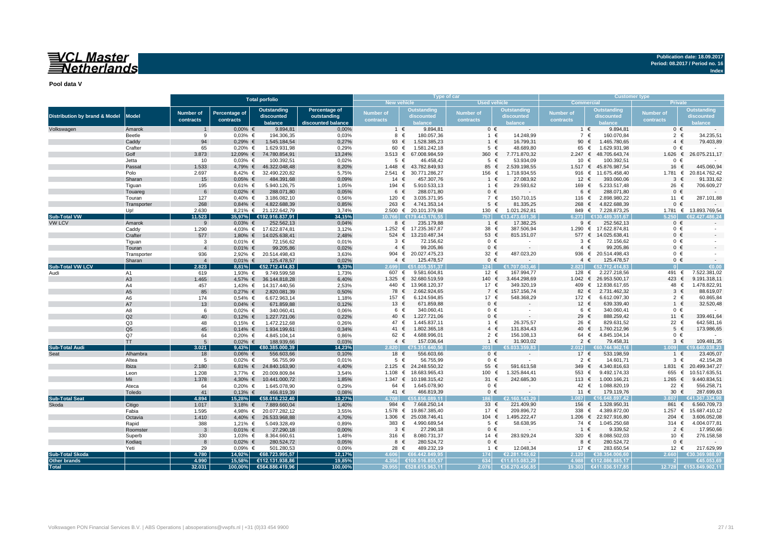## VCL Master<br>Netherlands

**Publication date: 18.09.2017 Period: 08.2017 / Period no. 16 Index**

**Pool data V**

|                                          |                   |                  |               | <b>Total porfolio</b>       |                    |                       | Type of car                            |                     |                              | <b>Customer type</b>         |                                   |                           |                                  |  |  |  |
|------------------------------------------|-------------------|------------------|---------------|-----------------------------|--------------------|-----------------------|----------------------------------------|---------------------|------------------------------|------------------------------|-----------------------------------|---------------------------|----------------------------------|--|--|--|
|                                          |                   |                  |               |                             |                    | New vehicle           |                                        | <b>Used vehicle</b> |                              | <b>Commercial</b><br>Private |                                   |                           |                                  |  |  |  |
|                                          |                   | <b>Number of</b> | Percentage of | <b>Outstanding</b>          | Percentage of      | <b>Number of</b>      | <b>Outstanding</b>                     | <b>Number of</b>    | <b>Outstanding</b>           | <b>Number of</b>             | Outstanding                       | Number of                 | <b>Outstanding</b>               |  |  |  |
| <b>Distribution by brand &amp; Model</b> | <b>Model</b>      | contracts        | contracts     | discounted                  | outstanding        | contracts             | discounted                             | contracts           | discounted                   | contracts                    | discounted                        | contracts                 | discounted                       |  |  |  |
|                                          |                   |                  |               | balance                     | discounted balance |                       | balance                                |                     | balance                      |                              | balance                           |                           | alance                           |  |  |  |
| Volkswagen                               | Amarok            |                  | $0,00%$ €     | 9.894,81                    | 0,00%              | $1 \in$               | 9.894,81                               | $0 \in$             |                              | $1 \in$                      | 9.894,81                          | $0 \in$                   |                                  |  |  |  |
|                                          | <b>Beetle</b>     | 9                | $0,03%$ €     | 194.306,35                  | 0,03%              | 8                     | 180.057,36<br>€                        | 1 €                 | 14.248,99                    | $\overline{7}$<br>€          | 160.070,84                        | $\overline{2}$            | 34.235,5                         |  |  |  |
|                                          | Caddy             | 94               | $0,29%$ €     | 1.545.184,54                | 0,27%              | 93                    | €<br>1.528.385,23                      | $1 \in$             | 16.799,31                    | 90                           | 1.465.780,65<br>€                 | $\overline{4}$            | 79.403,89                        |  |  |  |
|                                          | Crafter           | 65               | $0,20%$ €     | 1.629.931,98                | 0,29%              | 60 €                  | 1.581.242,18<br>67.008.984.59          | $5 \in$             | 48.689,80                    | 65<br>2.247                  | 1.629.931,98<br>€                 | $0 \in$                   |                                  |  |  |  |
|                                          | Golf              | 3.873            |               | 12,09% € 74.780.854,91      | 13,24%             | 3.513 $\epsilon$<br>5 | $\epsilon$                             | 360 €               | 7.771.870,32                 | $\epsilon$                   | 48.705.643,74<br>€                | 1.626<br>$0 \in$          | 26.075.211,17<br>€               |  |  |  |
|                                          | Jetta             | 10               | $0,03%$ €     | 100.392,51                  | 0,02%              |                       | 46.458,42                              | $5 \in$             | 53.934,09                    | $10-10$                      | 100.392,51                        |                           |                                  |  |  |  |
|                                          | Passat<br>Polo    | 1.533<br>2.697   | 8,42% €       | 4,79% € 46.322.048,48       | 8,20%<br>5,75%     | 2.541 ∈               | 1.448 € 43.782.849,93<br>30.771.286,27 | 85 €                | 2.539.198,55<br>1.718.934,55 |                              | 1.517 € 45.876.987,54             | 16                        | 445.060,94<br>€<br>20.814.762,42 |  |  |  |
|                                          | Sharan            | 15               | $0.05%$ €     | 32.490.220,82<br>484.391,68 | 0,09%              | 14                    | €<br>457.307,76                        | 156 €<br>$1 \in$    | 27.083,92                    | 12<br>€                      | 916 € 11.675.458,40<br>393.060,06 | 1.781 $∈$<br>$\mathbf{3}$ | 91.331,62<br>€                   |  |  |  |
|                                          | Tiguan            | 195              | $0.61\%$ €    | 5.940.126,75                | 1,05%              | 194 €                 | 5.910.533,13                           | 1 €                 | 29.593,62                    | 169 €                        | 5.233.517,48                      | 26 €                      | 706.609,27                       |  |  |  |
|                                          |                   | -6               | $0,02%$ €     | 288.071,80                  | 0,05%              | 6                     | €<br>288.071,80                        | $0 \in$             |                              | 6 €                          | 288.071,80                        | $0 \in$                   |                                  |  |  |  |
|                                          | Touareg<br>Touran | 127              | $0,40%$ €     | 3.186.082,10                | 0,56%              | 120 $∈$               | 3.035.371.95                           | 7 €                 | 150.710,15                   | 116 €                        | 2.898.980,22                      | 11 €                      | 287.101.88                       |  |  |  |
|                                          | Transporter       | 268              | $0,84%$ €     | 4.822.688,39                | 0,85%              |                       | 263 € 4.741.353,14                     | $5 \in$             | 81.335,25                    | 268 €                        | 4.822.688,39                      | $0 \in$                   |                                  |  |  |  |
|                                          | Up!               | 2.630            |               | 8,21% € 21.122.642,79       | 3,74%              |                       | 2.500 € 20.101.379,98                  | 130 €               | 1.021.262,81                 | 849 €                        | 7.228.873,25                      |                           | 1.781 € 13.893.769,54            |  |  |  |
| <b>Sub-Total VW</b>                      |                   | 11.523           | 35,97%        | €192.916.837,91             | 34,15%             |                       | 10.766 €179.443.176.55                 | 757                 | €13.473.661.36               | 6.273                        | €130.489.351.67                   | 5.250                     | :2 427 486 24                    |  |  |  |
| <b>VW LCV</b>                            | Amarok            | 9                | $0,03%$ €     | 252.562,13                  | 0,04%              | 8 €                   | 235.179,88                             | 1 €                 | 17.382,25                    | $9 \in$                      | 252.562,13                        | $0 \in$                   |                                  |  |  |  |
|                                          | Caddy             | 1.290            |               | 4,03% € 17.622.874,81       | 3,12%              |                       | 1.252 € 17.235.367,87                  | 38 €                | 387.506,94                   |                              | 1.290 € 17.622.874,81             | $0 \in$                   |                                  |  |  |  |
|                                          | Crafter           | 577              | 1,80% €       | 14.025.638,41               | 2,48%              |                       | 524 € 13.210.487,34                    | 53 €                | 815.151,07                   |                              | 577 € 14.025.638,41               | $0 \in$                   |                                  |  |  |  |
|                                          | Tiguan            | -3               | $0,01%$ €     | 72.156,62                   | 0,01%              | 3                     | €<br>72.156,62                         | $0 \in$             | $\sim$                       | $3 \in$                      | 72.156,62                         | $0 \in$                   |                                  |  |  |  |
|                                          | Touran            | $\overline{4}$   | $0,01\%$ €    | 99.205,86                   | 0,02%              | $4 \in$               | 99.205,86                              | $0 \in$             | $\sim$                       | $4 \in$                      | 99.205,86                         | $0 \in$                   |                                  |  |  |  |
|                                          | Transporter       | 936              |               | 2,92% € 20.514.498,43       | 3,63%              |                       | 904 € 20.027.475,23                    | 32 €                | 487.023,20                   |                              | 936 € 20.514.498,43               | $0 \in$                   |                                  |  |  |  |
|                                          | Sharan            | $\overline{4}$   | $0,01\%$ €    | 125.478,57                  | 0,02%              | $4 \in$               | 125.478,57                             | $0 \in$             |                              | $4 \in$                      | 125.478,57                        | $0 \in$                   |                                  |  |  |  |
| <b>Sub-Total VW LCV</b>                  |                   | 2.823            | 8,81%         | €52.712.414,83              | 9,33%              | 2.699                 | €51.005.351.37                         | 124                 | €1.707.063,46                | 2.823                        | €52.712.414.83                    |                           | €0.00                            |  |  |  |
| Audi                                     | A1                | 619              | 1,93% €       | 9.749.599,58                | 1,73%              | 607 €                 | 9.581.604,81                           | 12 €                | 167.994,77                   | 128 €                        | 2.227.218,56                      | 491 €                     | 7.522.381,02                     |  |  |  |
|                                          | A <sub>3</sub>    | 1.465            |               | 4,57% € 36.144.818,28       | 6,40%              |                       | 1.325 € 32.680.519,59                  | 140 €               | 3.464.298,69                 |                              | 1.042 € 26.953.500,17             | 423                       | €<br>9.191.318,11                |  |  |  |
|                                          | A4                | 457              |               | 1,43% € 14.317.440,56       | 2,53%              |                       | 440 € 13.968.120,37                    | 17 €                | 349.320,19                   |                              | 409 € 12.838.617,65               | 48 €                      | 1.478.822,91                     |  |  |  |
|                                          | A <sub>5</sub>    | 85               | $0,27%$ €     | 2.820.081,39                | 0,50%              | 78 €                  | 2.662.924,65                           | 7 €                 | 157.156,74                   | 82                           | 2.731.462,32<br>€                 | 3                         | 88.619,07<br>$\epsilon$          |  |  |  |
|                                          | A <sub>6</sub>    | 174              | $0,54%$ €     | 6.672.963,14                | 1,18%              | 157 €                 | 6.124.594,85                           | 17 €                | 548.368,29                   | 172 €                        | 6.612.097,30                      |                           | $2 \in$<br>60.865,84             |  |  |  |
|                                          | A7                | 13               | $0,04%$ €     | 671.859,88                  | 0,12%              | 13 $\epsilon$         | 671.859,88                             | $0 \in$             |                              | 12 €                         | 639.339,40                        | $1 \in$                   | 32.520,48                        |  |  |  |
|                                          | A <sub>8</sub>    | 6                | $0,02%$ €     | 340.060,41                  | 0,06%              | 6 €                   | 340.060,41                             | $0 \in$             |                              | 6 €                          | 340.060,41                        | $0 \in$                   |                                  |  |  |  |
|                                          | O <sub>2</sub>    | 40               | $0,12%$ €     | 1.227.721,06                | 0,22%              | 40 €                  | 1.227.721,06                           | $0 \in$             |                              | 29 €                         | 888.259,42                        | 11 €                      | 339.461,64                       |  |  |  |
|                                          | Q <sub>3</sub>    | 48               | $0,15%$ €     | 1.472.212,68                | 0,26%              | 47 €                  | 1.445.837,11                           | 1 €                 | 26.375,57                    | 26<br>€                      | 829.631,52                        | 22 €                      | 642.581,16                       |  |  |  |
|                                          | O <sub>5</sub>    | 45               | $0,14%$ €     | 1.934.199,61                | 0,34%              | 41 $\in$              | 1.802.365,18                           | $4 \in$             | 131.834,43                   | 40 €                         | 1.760.212,96                      |                           | $5 \in$<br>173.986.65            |  |  |  |
|                                          | Q7                | 64               | $0,20%$ €     | 4.845.104,14                | 0,86%              | 62 $\in$              | 4.688.996.01                           | $2 \in$             | 156.108,13                   | 64 €                         | 4.845.104,14                      | $0 \in$                   |                                  |  |  |  |
|                                          | <b>TT</b>         | 5                | $0.02\%$ €    | 188.939,66                  | 0.03%              | $4 \in$               | 157.036.64                             | 1 $\epsilon$        | 31.903.02                    | $2 \in$                      | 79.458.31                         |                           | 109.481.35<br>$3 \in$            |  |  |  |
| <b>Sub-Total Audi</b>                    |                   | 3.021            | 9.43%         | €80.385.000.39              | 14.23%             | 2.820                 | €75.351.640.56                         | $201 -$             | £5.033.359.83                | 2.012                        | €60.744.962,16                    |                           | 640.038.23                       |  |  |  |
| Seat                                     | Alhambra          | 18               | $0.06\%$ €    | 556.603,66                  | 0,10%              | 18 €                  | 556.603,66                             | $0 \in$             |                              | 17 €                         | 533.198,59                        |                           | 23.405.07<br>$1 \in$             |  |  |  |
|                                          | Altea             | 5                | $0,02%$ €     | 56.755,99                   | 0,01%              | $5 \in$               | 56.755,99                              | $0 \in$             |                              | $2 \in$                      | 14.601,71                         |                           | $3 \in$<br>42.154,28             |  |  |  |
|                                          | Ibiza             | 2.180            |               | 6,81% € 24.840.163,90       | 4,40%              |                       | 2.125 € 24.248.550,32                  | 55 €                | 591.613,58                   | 349                          | €<br>4.340.816,63                 | 1.831                     | 20.499.347,27<br>€               |  |  |  |
|                                          | Leon              | 1.208            |               | 3,77% € 20.009.809,84       | 3,54%              | 1.108 $∈$             | 18.683.965,43                          | 100 €               | 1.325.844,41                 | 553                          | €<br>9.492.174,33                 | 655                       | €<br>10.517.635,5                |  |  |  |
|                                          | Mii               | 1.378            |               | 4,30% € 10.441.000,72       | 1,85%              | $1.347 \in$           | 10.198.315,42                          | 31 €                | 242.685,30                   | 113 €                        | 1.000.166,21                      | $1.265$ €                 | 9.440.834,51                     |  |  |  |
|                                          | Ateca             | 64               | $0,20%$ €     | 1.645.078,90                | 0,29%              | 64 €                  | 1.645.078,90                           | $0 \in$             |                              | 42 €                         | 1.088.820,19                      | 22 €                      | 556.258,71                       |  |  |  |
|                                          | Toledo            | 41               | $0,13%$ €     | 466.819,39                  | 0,08%              | 41                    | 466.819,39<br>€                        | $0 \in$             |                              | 11 $\epsilon$                | 179.119,76                        | 30 €                      | 287.699,63                       |  |  |  |
| <b>Sub-Total Seat</b>                    |                   | 4.894            | 15,28%        | €58.016.232,40              | 10,27%             | 4.708                 | €55.856.089.11                         | 186                 | €2.160.143.29                |                              | 1.087 €16.648.897.42              | .807 <sub>1</sub>         | €41.367.334.98                   |  |  |  |
| Skoda                                    | Citigo            | 1.017            | $3,18%$ €     | 7.889.660,04                | 1,40%              | 984 €                 | 7.668.250,14                           | 33 $\epsilon$       | 221.409,90                   | 156 €                        | 1.328.950,31                      | 861 €                     | 6.560.709,73                     |  |  |  |
|                                          | Fabia             | 1.595            |               | 4,98% € 20.077.282,12       | 3,55%              |                       | 1.578 € 19.867.385,40                  | 17 €                | 209.896,72                   | 338 €                        | 4.389.872,00                      | 1.257 $∈$                 | 15.687.410,12                    |  |  |  |
|                                          | Octavia           | 1.410            |               | 4,40% € 26.533.968,88       | 4,70%              |                       | 1.306 € 25.038.746,41                  | 104 €               | 1.495.222,47                 |                              | 1.206 € 22.927.916,80             | 204 $\in$                 | 3.606.052,08                     |  |  |  |
|                                          | Rapid             | 388              | 1,21% €       | 5.049.328,49                | 0,89%              | 383 €                 | 4.990.689,54                           | $5 \in$             | 58.638.95                    | 74 €                         | 1.045.250,68                      | 314 $\in$                 | 4.004.077,81                     |  |  |  |
|                                          | Roomster          | $\mathbf{3}$     | $0,01\%$ €    | 27.290,18                   | 0,00%              | $3 \in$               | 27.290,18                              | $0 \in$             |                              | $1 \in$                      | 9.339,52                          | $2 \in$                   | 17.950,66                        |  |  |  |
|                                          | Superb            | 330              | 1,03% €       | 8.364.660,61                | 1,48%              | 316 €                 | 8.080.731,37                           | 14 €                | 283.929,24                   | 320 $\epsilon$               | 8.088.502,03                      | 10 €                      | 276.158,58                       |  |  |  |
|                                          | Kodiag            | 8                | $0,02%$ €     | 280.524,72                  | 0,05%              | $8 \in$               | 280.524,72                             | $0 \in$             |                              | 8 €                          | 280.524,72                        | $0 \in$                   |                                  |  |  |  |
|                                          | Yeti              | 29               | $0.09%$ €     | 501.280,53                  | 0.09%              | 28 €                  | 489.232.19                             | 1 €                 | 12.048,34                    | 17 €                         | 283.650,54                        | 12 €                      | 217.629,99                       |  |  |  |
| <b>Sub-Total Skoda</b>                   |                   | 4.780            | 14,92%        | €68.723.995,57              | 12,17%             | 4.606                 | €66.442.849,95                         | 174                 | €2.281.145,62                | 2.120                        | €38.354.006.60                    |                           | €30.369.988,97                   |  |  |  |
| <b>Other brands</b>                      |                   | 4.990            | 15,58%        | €112.131.938,86             | 19,85%             |                       | 4.356 €100.516.855.57                  | 634                 | €11.615.083.29               | 4.988                        | €112.086.885.17                   |                           | €45.053.69                       |  |  |  |
| <b>Total</b>                             |                   | 32.031           | 100,00%       | €564.886.419,96             | 100,00%            |                       | 29.955 €528.615.963,11                 | 2.076               | €36.270.456,85               |                              | 19.303 €411.036.517,85            | 12.728                    | €153.849.902,11                  |  |  |  |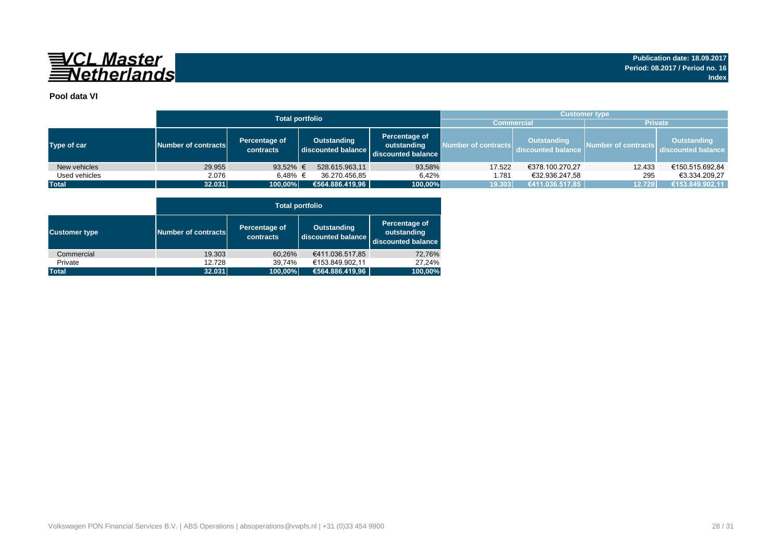

### **Pool data VI**

|               |                     |                            | <b>Total portfolio</b>            |                                                    | <b>Customer type</b> |                                          |                     |                                          |  |  |  |  |  |
|---------------|---------------------|----------------------------|-----------------------------------|----------------------------------------------------|----------------------|------------------------------------------|---------------------|------------------------------------------|--|--|--|--|--|
|               |                     |                            |                                   |                                                    |                      | <b>Commercial</b>                        | <b>Private</b>      |                                          |  |  |  |  |  |
| Type of car   | Number of contracts | Percentage of<br>contracts | Outstanding<br>discounted balance | Percentage of<br>outstanding<br>discounted balance | Number of contracts  | <b>Outstanding</b><br>discounted balance | Number of contracts | <b>Outstanding</b><br>discounted balance |  |  |  |  |  |
| New vehicles  | 29.955              | 93,52% €                   | 528.615.963,11                    | 93,58%                                             | 17.522               | €378.100.270,27                          | 12.433              | €150.515.692,84                          |  |  |  |  |  |
| Used vehicles | 2.076               | 6.48% €                    | 36.270.456.85                     | 6.42%                                              | 1.781                | €32.936.247.58                           | 295                 | €3.334.209.27                            |  |  |  |  |  |
| <b>Total</b>  | 32.031              | 100,00%                    | €564.886.419,96                   | 100,00%                                            | 19.303               | €411.036.517,85                          | 12.728              | €153.849.902,11                          |  |  |  |  |  |

|                      |                     | <b>Total portfolio</b>     |                                          |                                                    |  |  |  |  |  |  |  |  |  |
|----------------------|---------------------|----------------------------|------------------------------------------|----------------------------------------------------|--|--|--|--|--|--|--|--|--|
| <b>Customer type</b> | Number of contracts | Percentage of<br>contracts | <b>Outstanding</b><br>discounted balance | Percentage of<br>outstanding<br>discounted balance |  |  |  |  |  |  |  |  |  |
| Commercial           | 19.303              | 60,26%                     | €411.036.517,85                          | 72,76%                                             |  |  |  |  |  |  |  |  |  |
| Private              | 12.728              | 39,74%                     | €153.849.902.11                          | 27.24%                                             |  |  |  |  |  |  |  |  |  |
| <b>Total</b>         | 32.031              | 100,00%                    | €564.886.419,96                          | 100,00%                                            |  |  |  |  |  |  |  |  |  |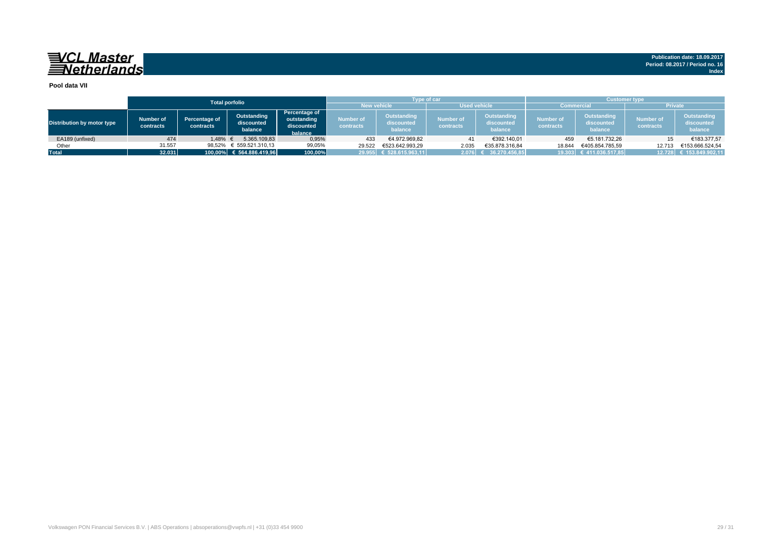## 

**Publication date: 18.09.2017 Period: 08.2017 / Period no. 16 Index**

#### **Pool data VII**

|                            |                        |                            | <b>Total porfolio</b>                |                                                       |                                           | <b>Type of car</b>                   |                               |                                      | <b>Customer type</b>                                                  |                         |                               |                                      |  |  |
|----------------------------|------------------------|----------------------------|--------------------------------------|-------------------------------------------------------|-------------------------------------------|--------------------------------------|-------------------------------|--------------------------------------|-----------------------------------------------------------------------|-------------------------|-------------------------------|--------------------------------------|--|--|
|                            |                        |                            |                                      |                                                       | <b>Used vehicle</b><br><b>New vehicle</b> |                                      |                               |                                      | Commercia                                                             |                         | <b>Private</b>                |                                      |  |  |
| Distribution by motor type | Number of<br>contracts | Percentage of<br>contracts | Outstanding<br>discounted<br>balance | Percentage of<br>outstanding<br>discounted<br>balance | Number of<br><b>contracts</b>             | Outstanding<br>discounted<br>balance | <b>Number of</b><br>contracts | Outstanding<br>discounted<br>balance | <b>Outstanding</b><br>Number of<br>discounted<br>contracts<br>balance |                         | <b>Number of</b><br>contracts | Outstanding<br>discounted<br>balance |  |  |
| EA189 (unfixed)            | 474                    | 1.48%                      | 5.365.109.83                         | 0,95%                                                 | 433                                       | €4.972.969.82                        | 41                            | €392.140.01                          | 459                                                                   | €5.181.732.26           |                               | €183.377,57                          |  |  |
| Other                      | 31.557                 | 98,52%                     | € 559.521.310,13                     | 99,05%                                                | 29.522                                    | €523.642.993.29                      | 2.035                         | €35.878.316.84                       | 18.844                                                                | €405.854.785.59         | 12.713                        | €153.666.524.54                      |  |  |
| <b>Total</b>               | 32.031                 |                            | $100,00\%$ € 564.886.419,96          | 100,00%                                               |                                           | 29.955 € 528.615.963,11              | $2.076$ $\mid$                | 36.270.456.85                        |                                                                       | 19.303 € 411.036.517,85 |                               | 12.728 € 153.849.902,11              |  |  |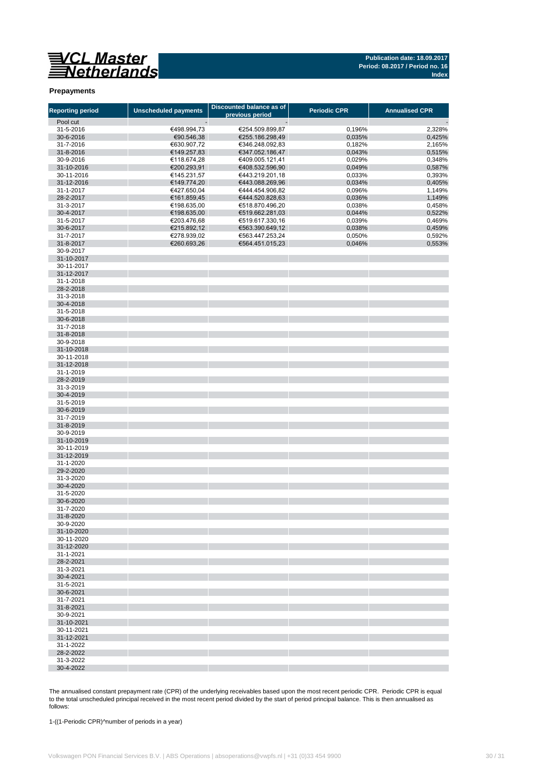

#### **Prepayments**

| <b>Reporting period</b> | <b>Unscheduled payments</b> | Discounted balance as of<br>previous period | <b>Periodic CPR</b> | <b>Annualised CPR</b> |
|-------------------------|-----------------------------|---------------------------------------------|---------------------|-----------------------|
| Pool cut                |                             |                                             |                     |                       |
| 31-5-2016               | €498.994,73                 | €254.509.899,87                             | 0,196%              | 2,328%                |
| 30-6-2016               | €90.546,38                  | €255.186.298,49                             | 0,035%              | 0,425%                |
| 31-7-2016               | €630.907,72                 | €346.248.092,83                             | 0,182%              | 2,165%                |
| 31-8-2016               | €149.257,83                 | €347.052.186,47                             | 0,043%              | 0,515%                |
| 30-9-2016               | €118.674,28                 | €409.005.121,41                             | 0,029%              | 0,348%                |
| 31-10-2016              | €200.293,91                 | €408.532.596,90                             | 0,049%              | 0,587%                |
| 30-11-2016              | €145.231,57                 | €443.219.201,18                             | 0,033%              | 0,393%                |
| 31-12-2016              | €149.774,20                 | €443.088.269,96                             | 0,034%              | 0,405%                |
| 31-1-2017               | €427.650,04                 | €444.454.906,82                             | 0,096%              | 1,149%                |
| 28-2-2017               | €161.859,45                 | €444.520.828,63                             | 0,036%              | 1,149%                |
| 31-3-2017               | €198.635,00                 | €518.870.496,20                             | 0,038%              | 0,458%                |
| 30-4-2017               | €198.635,00                 |                                             |                     |                       |
| 31-5-2017               |                             | €519.662.281,03                             | 0,044%              | 0,522%                |
|                         | €203.476,68                 | €519.617.330,16                             | 0,039%              | 0,469%                |
| 30-6-2017               | €215.892,12                 | €563.390.649,12                             | 0,038%              | 0,459%                |
| 31-7-2017               | €278.939,02                 | €563.447.253,24                             | 0,050%              | 0,592%                |
| 31-8-2017               | €260.693,26                 | €564.451.015,23                             | 0,046%              | 0,553%                |
| 30-9-2017               |                             |                                             |                     |                       |
| 31-10-2017              |                             |                                             |                     |                       |
| 30-11-2017              |                             |                                             |                     |                       |
| 31-12-2017              |                             |                                             |                     |                       |
| 31-1-2018               |                             |                                             |                     |                       |
| 28-2-2018               |                             |                                             |                     |                       |
| 31-3-2018               |                             |                                             |                     |                       |
| 30-4-2018               |                             |                                             |                     |                       |
| 31-5-2018               |                             |                                             |                     |                       |
| 30-6-2018               |                             |                                             |                     |                       |
| 31-7-2018               |                             |                                             |                     |                       |
| 31-8-2018               |                             |                                             |                     |                       |
| 30-9-2018               |                             |                                             |                     |                       |
| 31-10-2018              |                             |                                             |                     |                       |
| 30-11-2018              |                             |                                             |                     |                       |
| 31-12-2018              |                             |                                             |                     |                       |
| 31-1-2019               |                             |                                             |                     |                       |
| 28-2-2019               |                             |                                             |                     |                       |
| 31-3-2019               |                             |                                             |                     |                       |
| 30-4-2019               |                             |                                             |                     |                       |
| 31-5-2019               |                             |                                             |                     |                       |
| 30-6-2019               |                             |                                             |                     |                       |
| 31-7-2019               |                             |                                             |                     |                       |
| 31-8-2019               |                             |                                             |                     |                       |
|                         |                             |                                             |                     |                       |
| 30-9-2019               |                             |                                             |                     |                       |
| 31-10-2019              |                             |                                             |                     |                       |
| 30-11-2019              |                             |                                             |                     |                       |
| 31-12-2019              |                             |                                             |                     |                       |
| 31-1-2020               |                             |                                             |                     |                       |
| 29-2-2020               |                             |                                             |                     |                       |
| 31-3-2020               |                             |                                             |                     |                       |
| 30-4-2020               |                             |                                             |                     |                       |
| 31-5-2020               |                             |                                             |                     |                       |
| 30-6-2020               |                             |                                             |                     |                       |
| 31-7-2020               |                             |                                             |                     |                       |
| 31-8-2020               |                             |                                             |                     |                       |
| 30-9-2020               |                             |                                             |                     |                       |
| 31-10-2020              |                             |                                             |                     |                       |
| 30-11-2020              |                             |                                             |                     |                       |
| 31-12-2020              |                             |                                             |                     |                       |
| 31-1-2021               |                             |                                             |                     |                       |
| 28-2-2021               |                             |                                             |                     |                       |
| 31-3-2021               |                             |                                             |                     |                       |
| 30-4-2021               |                             |                                             |                     |                       |
| 31-5-2021               |                             |                                             |                     |                       |
| 30-6-2021               |                             |                                             |                     |                       |
| 31-7-2021               |                             |                                             |                     |                       |
| 31-8-2021               |                             |                                             |                     |                       |
| 30-9-2021               |                             |                                             |                     |                       |
| 31-10-2021              |                             |                                             |                     |                       |
| 30-11-2021              |                             |                                             |                     |                       |
| 31-12-2021              |                             |                                             |                     |                       |
| 31-1-2022               |                             |                                             |                     |                       |
| 28-2-2022               |                             |                                             |                     |                       |
| 31-3-2022               |                             |                                             |                     |                       |
| 30-4-2022               |                             |                                             |                     |                       |
|                         |                             |                                             |                     |                       |

The annualised constant prepayment rate (CPR) of the underlying receivables based upon the most recent periodic CPR. Periodic CPR is equal to the total unscheduled principal received in the most recent period divided by the start of period principal balance. This is then annualised as follows:

1-((1-Periodic CPR)^number of periods in a year)